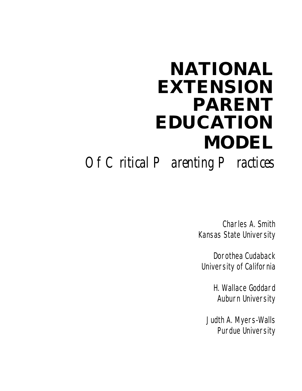# **NATIONAL EXTENSION PARENT EDUCATION MODEL** *Of Critical Parenting Practices*

Charles A. Smith Kansas State University

Dorothea Cudaback University of California

> H. Wallace Goddard Auburn University

Judth A. Myers-Walls Purdue University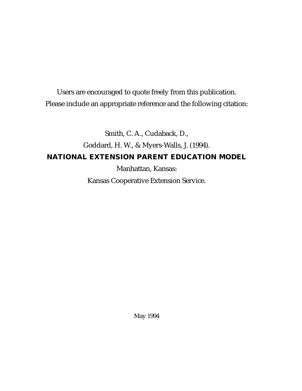Users are encouraged to quote freely from this publication. Please include an appropriate reference and the following citation:

Smith, C. A., Cudaback, D., Goddard, H. W., & Myers-Walls, J. (1994). **NATIONAL EXTENSION PARENT EDUCATION MODEL** Manhattan, Kansas:

Kansas Cooperative Extension Service.

May 1994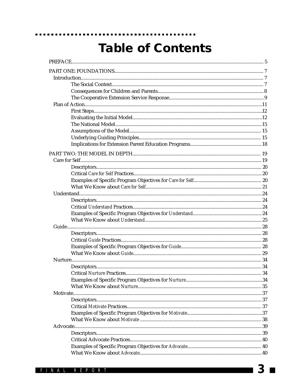## **Table of Contents**

. .

 $3<sub>u</sub>$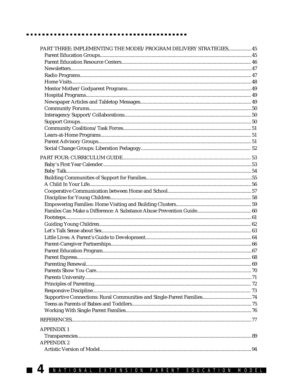#### ........................... ----------

| PART THREE: IMPLEMENTING THE MODEl/PROGRAM DELIVERY STRATEGIES 45 |  |
|-------------------------------------------------------------------|--|
|                                                                   |  |
|                                                                   |  |
|                                                                   |  |
|                                                                   |  |
|                                                                   |  |
|                                                                   |  |
|                                                                   |  |
|                                                                   |  |
|                                                                   |  |
|                                                                   |  |
|                                                                   |  |
|                                                                   |  |
|                                                                   |  |
|                                                                   |  |
|                                                                   |  |
|                                                                   |  |
|                                                                   |  |
|                                                                   |  |
|                                                                   |  |
|                                                                   |  |
|                                                                   |  |
|                                                                   |  |
|                                                                   |  |
|                                                                   |  |
|                                                                   |  |
|                                                                   |  |
|                                                                   |  |
|                                                                   |  |
|                                                                   |  |
|                                                                   |  |
|                                                                   |  |
|                                                                   |  |
|                                                                   |  |
|                                                                   |  |
|                                                                   |  |
|                                                                   |  |
|                                                                   |  |
|                                                                   |  |
|                                                                   |  |
|                                                                   |  |
|                                                                   |  |
| <b>APPENDIX1</b>                                                  |  |
|                                                                   |  |
| <b>APPENDIX 2</b>                                                 |  |
|                                                                   |  |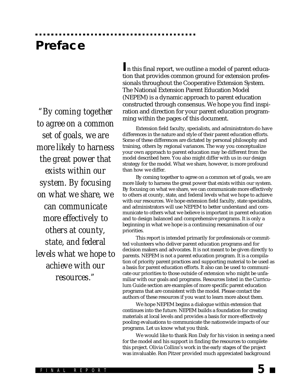## **Preface**

*"By coming together to agree on a common set of goals, we are more likely to harness the great power that exists within our system. By focusing on what we share, we can communicate more effectively to others at county, state, and federal levels what we hope to achieve with our resources."*

**I**n this final report, we outline a model of parent education that provides common ground for extension professionals throughout the Cooperative Extension System. The National Extension Parent Education Model (NEPEM) is a dynamic approach to parent education constructed through consensus. We hope you find inspiration and direction for your parent education programming within the pages of this document.

Extension field faculty, specialists, and administrators do have differences in the nature and style of their parent education efforts. Some of these differences are dictated by personal philosophy and training, others by regional variances. The way you conceptualize your own approach to parent education may be different from the model described here. You also might differ with us in our design strategy for the model. What we share, however, is more profound than how we differ.

By coming together to agree on a common set of goals, we are more likely to harness the great power that exists within our system. By focusing on what we share, we can communicate more effectively to others at county, state, and federal levels what we hope to achieve with our resources. We hope extension field faculty, state specialists, and administrators will use NEPEM to better understand and communicate to others what we believe is important in parent education and to design balanced and comprehensive programs. It is only a beginning in what we hope is a continuing reexamination of our priorities.

This report is intended primarily for professionals or committed volunteers who deliver parent education programs and for decision makers and advocates. It is not meant to be given directly to parents. NEPEM is not a parent education program. It is a compilation of priority parent practices and supporting material to be used as a basis for parent education efforts. It also can be used to communicate our priorities to those outside of extension who might be unfamiliar with our goals and programs. Resources listed in the Curriculum Guide section are examples of more specific parent education programs that are consistent with the model. Please contact the authors of these resources if you want to learn more about them.

We hope NEPEM begins a dialogue within extension that continues into the future. NEPEM builds a foundation for creating materials at local levels and provides a basis for more effectively pooling evaluations to communicate the nationwide impacts of our programs. Let us know what you think.

We would like to thank Ron Daly for his vision in seeing a need for the model and his support in finding the resources to complete this project. Olivia Collins's work in the early stages of the project was invaluable. Ron Pitzer provided much appreciated background

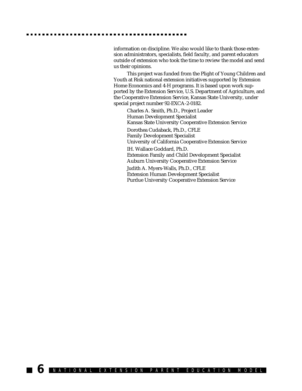information on discipline. We also would like to thank those extension administrators, specialists, field faculty, and parent educators outside of extension who took the time to review the model and send us their opinions.

This project was funded from the Plight of Young Children and Youth at Risk national extension initiatives supported by Extension Home Economics and 4-H programs. It is based upon work supported by the Extension Service, U.S. Department of Agriculture, and the Cooperative Extension Service, Kansas State University, under special project number 92-EXCA-2-0182.

Charles A. Smith, Ph.D., Project Leader Human Development Specialist Kansas State University Cooperative Extension Service Dorothea Cudaback, Ph.D., CFLE Family Development Specialist University of California Cooperative Extension Service IH. Wallace Goddard, Ph.D. Extension Family and Child Development Specialist Auburn University Cooperative Extension Service Judith A. Myers-Walls, Ph.D., CFLE Extension Human Development Specialist Purdue University Cooperative Extension Service

**6** NATIONAL EXTENSION PARENT EDUCATION MODEL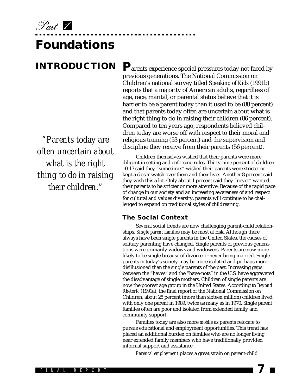## **Foundations**

Part 1

### **INTRODUCTION**

*"Parents today are often uncertain about what is the right thing to do in raising their children."*

Parents experience special pressures today not faced by previous generations. The National Commission on Children's national survey titled *Speaking of Kids* (1991b) reports that a majority of American adults, regardless of age, race, marital, or parental status believe that it is harder to be a parent today than it used to be (88 percent) and that parents today often are uncertain about what is the right thing to do in raising their children (86 percent). Compared to ten years ago, respondents believed children today are worse off with respect to their moral and religious training (53 percent) and the supervision and discipline they receive from their parents (56 percent).

Children themselves wished that their parents were more diligent in setting and enforcing rules. Thirty-nine percent of children 10-17 said they "sometimes" wished their parents were stricter or kept a closer watch over them and their lives. Another 8 percent said they wish this a lot. Only about 1 percent said they "never" wanted their parents to be stricter or more attentive. Because of the rapid pace of change in our society and an increasing awareness of and respect for cultural and values diversity, parents will continue to be challenged to expand on traditional styles of childrearing.

#### **The Social Context**

Several social trends are now challenging parent-child relationships. *Single parent families* may be most at risk. Although there always have been single parents in the United States, the causes of solitary parenting have changed. Single parents of previous generations were primarily widows and widowers. Parents are now more likely to be single because of divorce or never being married. Single parents in today's society may be more isolated and perhaps more disillusioned than the single parents of the past. Increasing gaps between the "haves" and the "have-nots" in the U.S. have aggravated the disadvantage of single mothers. Children of single parents are now the poorest age group in the United States. According to *Beyond Rhetoric* (1991a), the final report of the National Commission on Children, about 25 percent (more than sixteen million) children lived with only one parent in 1989, twice as many as in 1970. Single parent families often are poor and isolated from extended family and community support.

Families today are also more *mobile* as parents relocate to pursue educational and employment opportunities. This trend has placed an additional burden on families who are no longer living near extended family members who have traditionally provided informal support and assistance.

*Parental employment* places a great strain on parent-child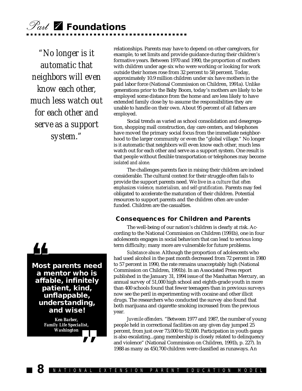# Part 1 **Foundations**

*"No longer is it automatic that neighbors will even know each other, much less watch out for each other and serve as a support system."*



*Ken Barber, Family Life Specialist, Washington* " relationships. Parents may have to depend on other caregivers, for example, to set limits and provide guidance during their children's formative years. Between 1970 and 1990, the proportion of mothers with children under age six who were working or looking for work outside their homes rose from 32 percent to 58 percent. Today, approximately 10.9 million children under six have mothers in the paid labor force (National Commission on Children, 1991a). Unlike generations prior to the Baby Boom, today's mothers are likely to be employed some distance from the home and are less likely to have extended family close by to assume the responsibilities they are unable to handle on their own. About 95 percent of all fathers are employed.

Social trends as varied as school consolidation and desegregation, shopping mall construction, day care centers, and telephones have moved the primary social focus from the immediate neighborhood to the larger community or even the "global village." No longer is it automatic that neighbors will even know each other, much less watch out for each other and serve as a support system. One result is that people without flexible transportation or telephones may become *isolated and alone.*

The challenges parents face in raising their children are indeed considerable. The cultural context for their struggle often fails to provide the support parents need. We live in a *culture that often emphasizes violence, materialism, and self-gratification.* Parents may feel obligated to accelerate the maturation of their children. Potential resources to support parents and the children often are underfunded. Children are the casualties.

#### **Consequences for Children and Parents**

The well-being of our nation's children is clearly at risk. According to the National Commission on Children (1991b), one in four adolescents engages in social behaviors that can lead to serious longterm difficulty; many more are vulnerable for future problems.

*Substance abuse.* Although the proportion of adolescents who had used alcohol in the past month decreased from 72 percent in 1980 to 57 percent in 1990, the rate remains unacceptably high (National Commission on Children, 1991b). In an Associated Press report published in the January 31, 1994 issue of the Manhattan Mercury, an annual survey of 51,000 high school and eighth-grade youth in more than 400 schools found that fewer teenagers than in previous surveys now see the peril in experimenting with cocaine and other illicit drugs. The researchers who conducted the survey also found that both marijuana and cigarette smoking increased from the previous year.

*Juvenile offenders.* "Between 1977 and 1987, the number of young people held in correctional facilities on any given day jumped 25 percent, from just over 73,000 to 92,000. Participation in youth gangs is also escalating...gang membership is closely related to delinquency and violence" (National Commission on Children, 1991b, p. 227). In 1988 as many as 450,700 children were classified as runaways. An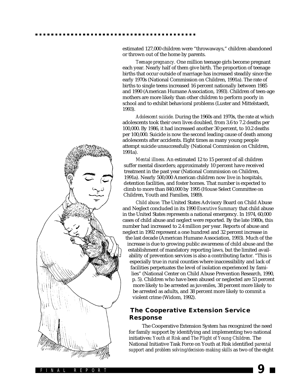estimated 127,000 children were "throwaways," children abandoned or thrown out of the home by parents.

*Teenage pregnancy.* One million teenage girls become pregnant each year. Nearly half of them give birth. The proportion of teenage births that occur outside of marriage has increased steadily since the early 1970s (National Commission on Children, 1991a). The rate of births to single teens increased 16 percent nationally between 1985 and 1990 (American Humane Association, 1993). Children of teen-age mothers are more likely than other children to perform poorly in school and to exhibit behavioral problems (Luster and Mittelstaedt, 1993).

*Adolescent suicide.* During the 1960s and 1970s, the rate at which adolescents took their own lives doubled, from 3.6 to 7.2 deaths per 100,000. By 1986, it had increased another 30 percent, to 10.2 deaths per 100,000. Suicide is now the second leading cause of death among adolescents after accidents. Eight times as many young people attempt suicide unsuccessfully (National Commission on Children, 1991a).

*Mental illness.* An estimated 12 to 15 percent of all children suffer mental disorders; approximately 10 percent have received treatment in the past year (National Commission on Children, 1991a). Nearly 500,000 American children now live in hospitals, detention facilities, and foster homes. That number is expected to climb to more than 840,000 by 1995 (House Select Committee on Children, Youth and Families, 1989).

*Child abuse.* The United States Advisory Board on Child Abuse and Neglect concluded in its 1990 *Executive Summary* that child abuse in the United States represents a national emergency. In 1974, 60,000 cases of child abuse and neglect were reported. By the late 1980s, this number had increased to 2.4 million per year. Reports of abuse and neglect in 1992 represent a one hundred and 32 percent increase in the last decade (American Humane Association, 1993). Much of the increase is due to growing public awareness of child abuse and the establishment of mandatory reporting laws, but the limited availability of prevention services is also a contributing factor. "This is especially true in rural counties where inaccessibility and lack of facilities perpetuates the level of isolation experienced by families" (National Center on Child Abuse Prevention Research, 1990, p. 5). Children who have been abused or neglected are 53 percent more likely to be arrested as juveniles, 38 percent more likely to be arrested as adults, and 38 percent more likely to commit a violent crime (Widom, 1992).

#### **The Cooperative Extension Service Response**

The Cooperative Extension System has recognized the need for family support by identifying and implementing two national initiatives: *Youth at Risk* and *The Plight of Young Children.* The National Initiative Task Force on Youth at Risk identified *parental support* and *problem solving/decision-making skills* as two of the eight

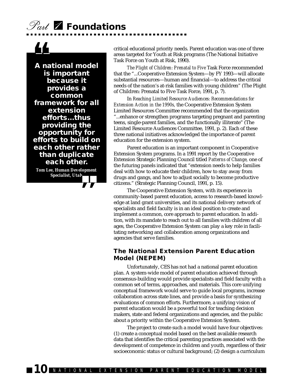## Part 1 **Foundations**

A<br>
A nati<br>
is in **A national model is important because it provides a common framework for all extension efforts...thus providing the opportunity for efforts to build on each other rather than duplicate each other.**

*Tom Lee, Human Development Specialist, Utah* ❞

Figure 1.1 critical educational priority needs. Parent education was one of three<br>
areas targeted for Youth at Risk, 1990).<br>
The Plight of Children: Prenatal to Five Task Force recommended<br>
The Plight of Children: Prenatal areas targeted for Youth at Risk programs (The National Initiative Task Force on Youth at Risk, 1990).

*The Plight of Children: Prenatal to Five* Task Force recommended that the "...Cooperative Extension System—by FY 1993—will allocate substantial resources—human and financial—to address the critical needs of the nation's at-risk families with young children" (The Plight of Children: Prenatal to Five Task Force, 1991, p. 7).

In *Reaching Limited Resource Audiences: Recommendations for Extension Action in the 1990s,* the Cooperative Extension System Limited Resources Committee recommended that the organization "...enhance or strengthen programs targeting pregnant and parenting teens, single-parent families, and the functionally illiterate" (The Limited Resource Audiences Committee, 1991, p. 2). Each of these three national initiatives acknowledged the importance of parent education for the extension system.

Parent education is an important component in Cooperative Extension System programs. In a 1991 report by the Cooperative Extension Strategic Planning Council titled *Patterns of Change,* one of the futuring panels indicated that "extension needs to help families deal with how to educate their children, how to stay away from drugs and gangs, and how to adjust socially to become productive citizens." (Strategic Planning Council, 1991, p. 15).

The Cooperative Extension System, with its experience in community-based parent education, access to research-based knowledge at land grant universities, and its national delivery network of specialists and field faculty is in an ideal position to create and implement a common, core approach to parent education. In addition, with its mandate to reach out to all families with children of all ages, the Cooperative Extension System can play a key role in facilitating networking and collaboration among organizations and agencies that serve families.

### **The National Extension Parent Education Model (NEPEM)**

Unfortunately, CES has not had a national parent education plan. A system-wide model of parent education achieved through consensus-building would provide specialists and field faculty with a common set of terms, approaches, and materials. This core unifying conceptual framework would serve to guide local programs, increase collaboration across state lines, and provide a basis for synthesizing evaluations of common efforts. Furthermore, a unifying vision of parent education would be a powerful tool for teaching decision makers, state and federal organizations and agencies, and the public about a priority within the Cooperative Extension System.

The project to create such a model would have four objectives: (1) create a conceptual model based on the best available research data that identifies the critical parenting practices associated with the development of competence in children and youth, regardless of their socioeconomic status or cultural background; (2) design a curriculum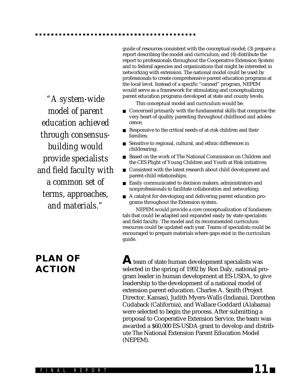guide of resources consistent with the conceptual model; (3) prepare a report describing the model and curriculum; and (4) distribute the report to professionals throughout the Cooperative Extension System and to federal agencies and organizations that might be interested in networking with extension. The national model could be used by professionals to create comprehensive parent education programs at the local level. Instead of a specific "canned" program, NEPEM would serve as a framework for stimulating and conceptualizing parent education programs developed at state and county levels.

This conceptual model and curriculum would be:

- Concerned primarily with the fundamental skills that comprise the very heart of quality parenting throughout childhood and adolescence;
- Responsive to the critical needs of at-risk children and their families;
- Sensitive to regional, cultural, and ethnic differences in childrearing;
- Based on the work of The National Commission on Children and the CES Plight of Young Children and Youth at Risk initiatives;
- Consistent with the latest research about child development and parent-child relationships;
- Easily communicated to decision makers, administrators and nonprofessionals to facilitate collaboration and networking;
- A catalyst for developing and delivering parent education programs throughout the Extension system.

NEPEM would provide a core conceptualization of fundamentals that could be adapted and expanded easily by state specialists and field faculty. The model and its recommended curriculum resources could be updated each year. Teams of specialists could be encouraged to prepare materials where gaps exist in the curriculum guide.

*"A system-wide model of parent education achieved through consensusbuilding would provide specialists and field faculty with a common set of terms, approaches, and materials."*

### **PLAN OF ACTION**

 $\bigwedge$  team of state human development specialists was selected in the spring of 1992 by Ron Daly, national program leader in human development at ES-USDA, to give leadership to the development of a national model of extension parent education. Charles A. Smith (Project Director, Kansas), Judith Myers-Walls (Indiana), Dorothea Cudaback (California), and Wallace Goddard (Alabama) were selected to begin the process. After submitting a proposal to Cooperative Extension Service, the team was awarded a \$60,000 ES-USDA grant to develop and distribute The National Extension Parent Education Model (NEPEM).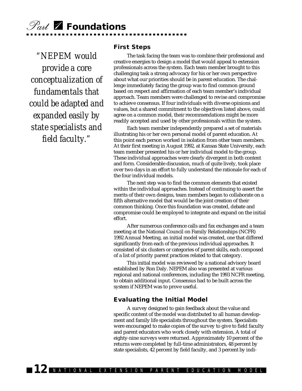## Part 1 **Foundations**

*"NEPEM would provide a core conceptualization of fundamentals that could be adapted and expanded easily by state specialists and field faculty."*

#### **First Steps**

The task facing the team was to combine their professional and creative energies to design a model that would appeal to extension professionals across the system. Each team member brought to this challenging task a strong advocacy for his or her own perspective about what our priorities should be in parent education. The challenge immediately facing the group was to find common ground based on respect and affirmation of each team member's individual approach. Team members were challenged to revise and compromise to achieve consensus. If four individuals with diverse opinions and values, but a shared commitment to the objectives listed above, could agree on a common model, their recommendations might be more readily accepted and used by other professionals within the system.

Each team member independently prepared a set of materials illustrating his or her own personal model of parent education. At this point each person worked in isolation from other team members. At their first meeting in August 1992, at Kansas State University, each team member presented his or her individual model to the group. These individual approaches were clearly divergent in both content and form. Considerable discussion, much of quite lively, took place over two days in an effort to fully understand the rationale for each of the four individual models.

The next step was to find the common elements that existed within the individual approaches. Instead of continuing to assert the merits of their own designs, team members began to collaborate on a fifth alternative model that would be the joint creation of their common thinking. Once this foundation was created, debate and compromise could be employed to integrate and expand on the initial effort.

After numerous conference calls and fax exchanges and a team meeting at the National Council on Family Relationships (NCFR) 1992 Annual Meeting, an initial model was created, one that differed significantly from each of the previous individual approaches. It consisted of six clusters or categories of parent skills, each composed of a list of priority parent practices related to that category.

This initial model was reviewed by a national advisory board established by Ron Daly. NEPEM also was presented at various regional and national conferences, including the 1993 NCFR meeting, to obtain additional input. Consensus had to be built across the system if NEPEM was to prove useful.

### **Evaluating the Initial Model**

A survey designed to gain feedback about the value and specific content of the model was distributed to all human development and family life specialists throughout the system. Specialists were encouraged to make copies of the survey to give to field faculty and parent educators who work closely with extension. A total of eighty-nine surveys were returned. Approximately 10 percent of the returns were completed by full-time administrators, 48 percent by state specialists, 42 percent by field faculty, and 3 percent by indi-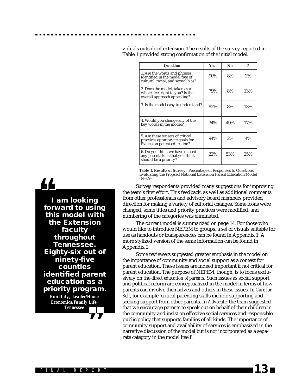| Question                                                                                                   | Yes | No  | ?    |
|------------------------------------------------------------------------------------------------------------|-----|-----|------|
| 1. Are the words and phrases<br>identified in the model free of<br>cultural, racial, and sexual bias?      | 90% | 8%  | 2%   |
| 2. Does the model, taken as a<br>whole, feel right to you? Is the<br>overall approach appealing?           | 79% | 8%  | 13%  |
| 3. Is the model easy to understand?                                                                        | 82% | 8%  | 13%  |
| 4. Would you change any of the<br>key words in the model?                                                  | 34% | 49% | 17%  |
| 5. Are these six sets of critical<br>practices appropriate goals for<br><b>Extension parent education?</b> | 94% | 2%  | 4%   |
| 6. Do you think we have missed<br>any parent skills that you think<br>should be a priority?                | 22% | 53% | 2.5% |

viduals outside of extension. The results of the survey reported in Table 1 provided strong confirmation of the initial model.

> **Table 1. Results of Survey:** Percentage of Responses to Questions Evaluating the Propsed National Extension Parent Education Model  $(N=89)$ .

Survey respondents provided many suggestions for improving the team's first effort. This feedback, as well as additional comments from other professionals and advisory board members provided direction for making a variety of editorial changes. Some icons were changed, some titles and priority practices were modified, and numbering of the categories was eliminated.

The current model is summarized on page 14. For those who would like to introduce NEPEM to groups, a set of visuals suitable for use as handouts or transparencies can be found in Appendix 1. A more stylized version of the same information can be found in Appendix 2.

Some reviewers suggested greater emphasis in the model on the importance of community and social support as a context for parent education. These issues are indeed important if not critical for parent education. The purpose of NEPEM, though, is to focus exclusively on the *direct education of parents.* Such issues as social support and political reform are conceptualized in the model in terms of how parents can involve themselves and others in these issues. In *Care for Self,* for example, critical parenting skills include supporting and seeking support from other parents. In *Advocate,* the team suggested that we encourage parents to speak out on behalf of their children in the community and insist on effective social services and responsible public policy that supports families of all kinds. The importance of community support and availability of services is emphasized in the narrative discussion of the model but is not incorporated as a separate category in the model itself.

**I am looking forward to using this model with the Extension faculty throughout Tennessee. Eighty-six out of ninety-five counties identified parent education as a priority program.**

> ❞❞ *Ron Daly, Leader/Home Economics/Family Life, Tennessee*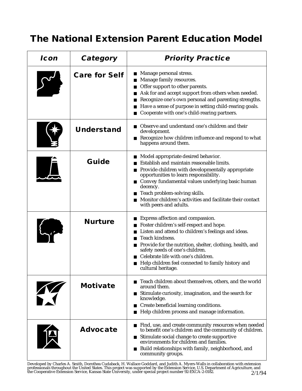### **The National Extension Parent Education Model**

| <b>Icon</b> | Category             | <b>Priority Practice</b>                                                                                                                                                                                                                                                                                                                                                   |
|-------------|----------------------|----------------------------------------------------------------------------------------------------------------------------------------------------------------------------------------------------------------------------------------------------------------------------------------------------------------------------------------------------------------------------|
|             | <b>Care for Self</b> | Manage personal stress.<br>Manage family resources.<br>Offer support to other parents.<br>Ask for and accept support from others when needed.<br>Recognize one's own personal and parenting strengths.<br>Have a sense of purpose in setting child-rearing goals.<br>Cooperate with one's child-rearing partners.                                                          |
|             | <b>Understand</b>    | Observe and understand one's children and their<br>development.<br>Recognize how children influence and respond to what<br>happens around them.                                                                                                                                                                                                                            |
|             | Guide                | Model appropriate desired behavior.<br>Establish and maintain reasonable limits.<br>Provide children with developmentally appropriate<br>opportunities to learn responsibility.<br>Convey fundamental values underlying basic human<br>decency.<br>Teach problem-solving skills.<br>Monitor children's activities and facilitate their contact<br>with peers and adults.   |
|             | <b>Nurture</b>       | Express affection and compassion.<br>Foster children's self-respect and hope.<br>Listen and attend to children's feelings and ideas.<br>Teach kindness.<br>Provide for the nutrition, shelter, clothing, health, and<br>safety needs of one's children.<br>Celebrate life with one's children.<br>Help children feel connected to family history and<br>cultural heritage. |
| 44          | <b>Motivate</b>      | ■ Teach children about themselves, others, and the world<br>around them.<br>Stimulate curiosity, imagination, and the search for<br>knowledge.<br>Create beneficial learning conditions.<br>Help children process and manage information.                                                                                                                                  |
|             | <b>Advocate</b>      | Find, use, and create community resources when needed<br>to benefit one's children and the community of children.<br>Stimulate social change to create supportive<br>■<br>environments for children and families.<br>Build relationships with family, neighborhood, and<br>$\blacksquare$<br>community groups.                                                             |

Developed by Charles A. Smith, Dorothea Cudaback, H. Wallace Goddard, and Judith A. Myers-Walls in collaboration with extension<br>professionals throughout the United States. This project was supported by the Extension Servic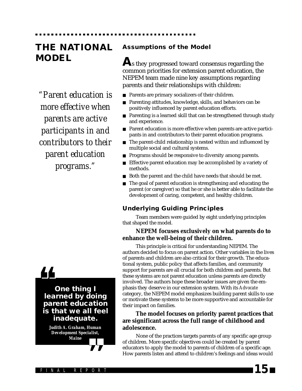### **THE NATIONAL MODEL**

*"Parent education is more effective when parents are active participants in and contributors to their parent education programs."*

### **Assumptions of the Model**

**A**s they progressed toward consensus regarding the common priorities for extension parent education, the NEPEM team made nine key assumptions regarding parents and their relationships with children:

- Parents are primary socializers of their children.
- Parenting attitudes, knowledge, skills, and behaviors can be positively influenced by parent education efforts.
- Parenting is a learned skill that can be strengthened through study and experience.
- Parent education is more effective when parents are active participants in and contributors to their parent education programs.
- The parent-child relationship is nested within and influenced by multiple social and cultural systems.
- Programs should be responsive to diversity among parents.
- Effective parent education may be accomplished by a variety of methods.
- Both the parent and the child have needs that should be met.
- The goal of parent education is strengthening and educating the parent (or caregiver) so that he or she is better able to facilitate the development of caring, competent, and healthy children.

### **Underlying Guiding Principles**

Team members were guided by eight underlying principles that shaped the model.

### **NEPEM focuses exclusively on what parents do to enhance the well-being of their children.**

This principle is critical for understanding NEPEM. The authors decided to focus on parent action. Other variables in the lives of parents and children are also critical for their growth. The educational system, public policy that affects families, and community support for parents are all crucial for both children and parents. But these systems are not parent education unless parents are directly involved. The authors hope these broader issues are given the emphasis they deserve in our extension system. With its *Advocate* category, the NEPEM model emphasizes building parent skills to use or motivate these systems to be more supportive and accountable for their impact on families.

**The model focuses on priority parent practices that are significant across the full range of childhood and adolescence.**

None of the practices targets parents of any specific age group of children. More specific objectives could be created by parent educators to apply the model to parents of children of a specific age. How parents listen and attend to children's feelings and ideas would

**One thing I learned by doing parent education is that we all feel inadequate.**

> *Judith A. Graham, Human Development Specialist, Maine*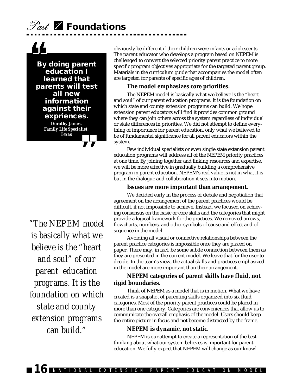## Part 1 **Foundations**



❞ *Dorothy James, Family Life Specialist, Texas*

*"The NEPEM model is basically what we believe is the "heart and soul" of our parent education programs. It is the foundation on which state and county extension programs can build."*

obviously be different if their children were infants or adolescents. The parent educator who develops a program based on NEPEM is challenged to convert the selected priority parent practice to more specific program objectives appropriate for the targeted parent group. Materials in the curriculum guide that accompanies the model often are targeted for parents of specific ages of children.

#### **The model emphasizes core priorities.**

The NEPEM model is basically what we believe is the "heart and soul" of our parent education programs. It is the foundation on which state and county extension programs can build. We hope extension parent educators will find it provides common ground where they can join others across the system regardless of individual or state differences in priorities. We did not attempt to define everything of importance for parent education, only what we believed to be of fundamental significance for all parent educators within the system.

Few individual specialists or even single state extension parent education programs will address all of the NEPEM priority practices at one time. By joining together and linking resources and expertise, we will be more effective in gradually building a comprehensive program in parent education. NEPEM's real value is not in what it is but in the dialogue and collaboration it sets into motion.

#### **Issues are more important than arrangement.**

We decided early in the process of debate and negotiation that agreement on the arrangement of the parent practices would be difficult, if not impossible to achieve. Instead, we focused on achieving consensus on the basic or core skills and the categories that might provide a logical framework for the practices. We removed arrows, flowcharts, numbers, and other symbols of cause and effect and of sequence in the model.

Avoiding all visual or connective relationships between the parent practice categories is impossible once they are placed on paper. There may, in fact, be some subtle connection between them as they are presented in the current model. We leave that for the user to decide. In the team's view, the actual skills and practices emphasized in the model are more important than their arrangement.

#### **NEPEM categories of parent skills have fluid, not rigid boundaries.**

Think of NEPEM as a model that is in motion. What we have created is a snapshot of parenting skills organized into six fluid categories. Most of the priority parent practices could be placed in more than one category. Categories are conveniences that allow us to communicate the overall emphasis of the model. Users should keep the entire picture in focus and not become distracted by the frame.

#### **NEPEM is dynamic, not static.**

NEPEM is our attempt to create a representation of the best thinking about what our system believes is important for parent education. We fully expect that NEPEM will change as our knowl-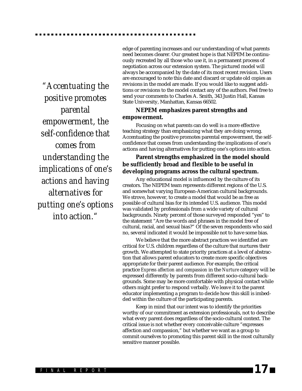*"Accentuating the positive promotes parental empowerment, the self-confidence that comes from understanding the implications of one's actions and having alternatives for putting one's options into action."*

edge of parenting increases and our understanding of what parents need becomes clearer. Our greatest hope is that NEPEM be continuously recreated by all those who use it, in a permanent process of negotiation across our extension system. The pictured model will always be accompanied by the date of its most recent revision. Users are encouraged to note this date and discard or update old copies as revisions in the model are made. If you would like to suggest additions or revisions to the model contact any of the authors. Feel free to send your comments to Charles A. Smith, 343 Justin Hall, Kansas State University, Manhattan, Kansas 66502.

#### **NEPEM emphasizes parent strengths and empowerment.**

Focusing on what parents can do well is a more effective teaching strategy than emphasizing what they are doing wrong. Accentuating the positive promotes parental empowerment, the selfconfidence that comes from understanding the implications of one's actions and having alternatives for putting one's options into action.

### **Parent strengths emphasized in the model should be sufficiently broad and flexible to be useful in developing programs across the cultural spectrum.**

Any educational model is influenced by the culture of its creators. The NEPEM team represents different regions of the U.S. and somewhat varying European-American cultural backgrounds. We strove, however, to create a model that would be as free as possible of cultural bias for its intended U.S. audience. This model was validated by professionals from a wide variety of cultural backgrounds. Ninety percent of those surveyed responded "yes" to the statement "Are the words and phrases in the model free of cultural, racial, and sexual bias?" Of the seven respondents who said no, several indicated it would be impossible not to have some bias.

We believe that the more abstract practices we identified are critical for U.S. children regardless of the culture that nurtures their growth. We attempted to state priority practices at a level of abstraction that allows parent educators to create more specific objectives appropriate for their parent audience. For example, the critical practice *Express affection and compassion* in the *Nurture* category will be expressed differently by parents from different socio-cultural backgrounds. Some may be more comfortable with physical contact while others might prefer to respond verbally. We leave it to the parent educator implementing a program to decide how this skill is imbedded within the culture of the participating parents.

Keep in mind that our intent was to identify the priorities worthy of our commitment as extension professionals, not to describe what every parent does regardless of the socio-cultural context. The critical issue is not whether every conceivable culture "expresses affection and compassion," but whether we want as a group to commit ourselves to promoting this parent skill in the most culturally sensitive manner possible.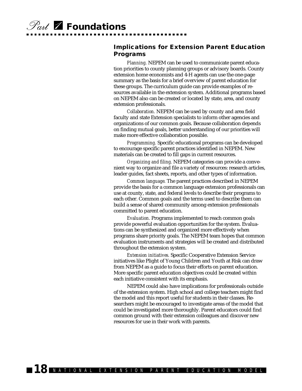

#### **Implications for Extension Parent Education Programs**

*Planning.* NEPEM can be used to communicate parent education priorities to county planning groups or advisory boards. County extension home economists and 4-H agents can use the one-page summary as the basis for a brief overview of parent education for these groups. The curriculum guide can provide examples of resources available in the extension system. Additional programs based on NEPEM also can be created or located by state, area, and county extension professionals.

*Collaboration.* NEPEM can be used by county and area field faculty and state Extension specialists to inform other agencies and organizations of our common goals. Because collaboration depends on finding mutual goals, better understanding of our priorities will make more effective collaboration possible.

*Programming.* Specific educational programs can be developed to encourage specific parent practices identified in NEPEM. New materials can be created to fill gaps in current resources.

*Organizing and filing.* NEPEM categories can provide a convenient way to organize and file a variety of resources: research articles, leader guides, fact sheets, reports, and other types of information.

*Common language.* The parent practices described in NEPEM provide the basis for a common language extension professionals can use at county, state, and federal levels to describe their programs to each other. Common goals and the terms used to describe them can build a sense of shared community among extension professionals committed to parent education.

*Evaluation.* Programs implemented to reach common goals provide powerful evaluation opportunities for the system. Evaluations can be synthesized and organized more effectively when programs share priority goals. The NEPEM team hopes that common evaluation instruments and strategies will be created and distributed throughout the extension system.

*Extension initiatives.* Specific Cooperative Extension Service initiatives like Plight of Young Children and Youth at Risk can draw from NEPEM as a guide to focus their efforts on parent education. More specific parent education objectives could be created within each initiative consistent with its emphasis.

NEPEM could also have implications for professionals outside of the extension system. High school and college teachers might find the model and this report useful for students in their classes. Researchers might be encouraged to investigate areas of the model that could be investigated more thoroughly. Parent educators could find common ground with their extension colleagues and discover new resources for use in their work with parents.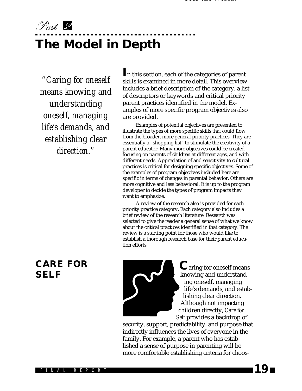## **The Model in Depth** Part 2

*"Caring for oneself means knowing and understanding oneself, managing life's demands, and establishing clear direction."*

**I**n this section, each of the categories of parent skills is examined in more detail. This overview includes a brief description of the category, a list of descriptors or keywords and critical priority parent practices identified in the model. Examples of more specific program objectives also are provided.

Examples of potential objectives are presented to illustrate the types of more specific skills that could flow from the broader, more general priority practices. They are essentially a "shopping list" to stimulate the creativity of a parent educator. Many more objectives could be created focusing on parents of children at different ages, and with different needs. Appreciation of and sensitivity to cultural practices is critical for designing specific objectives. Some of the examples of program objectives included here are specific in terms of changes in parental behavior. Others are more cognitive and less behavioral. It is up to the program developer to decide the types of program impacts they want to emphasize.

A review of the research also is provided for each priority practice category. Each category also includes a brief review of the research literature. Research was selected to give the reader a general sense of what we know about the critical practices identified in that category. The review is a starting point for those who would like to establish a thorough research base for their parent education efforts.

### **CARE FOR SELF**



**C**aring for oneself means knowing and understanding oneself, managing life's demands, and establishing clear direction. Although not impacting children directly, *Care for Self* provides a backdrop of

security, support, predictability, and purpose that indirectly influences the lives of everyone in the family. For example, a parent who has established a sense of purpose in parenting will be more comfortable establishing criteria for choos-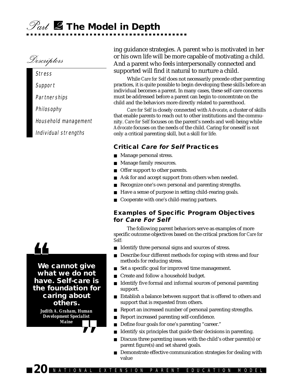## Part 2 **The Model in Depth**

Descriptors

Stress

Support

Partnerships

Philosophy

Household management

Individual strengths

ing guidance strategies. A parent who is motivated in her or his own life will be more capable of motivating a child. And a parent who feels interpersonally connected and supported will find it natural to nurture a child.

While *Care for Self* does not necessarily precede other parenting practices, it is quite possible to begin developing these skills before an individual becomes a parent. In many cases, these self-care concerns must be addressed before a parent can begin to concentrate on the child and the behaviors more directly related to parenthood.

*Care for Self* is closely connected with *Advocate*, a cluster of skills that enable parents to reach out to other institutions and the community. *Care for Self* focuses on the parent's needs and well-being while *Advocate* focuses on the needs of the child. Caring for oneself is not only a critical parenting skill, but a skill for life.

### **Critical Care for Self Practices**

- Manage personal stress.
- Manage family resources.
- Offer support to other parents.
- Ask for and accept support from others when needed.
- Recognize one's own personal and parenting strengths.
- Have a sense of purpose in setting child-rearing goals.
- Cooperate with one's child-rearing partners.

### **Examples of Specific Program Objectives for Care For Self**

The following parent behaviors serve as examples of more specific outcome objectives based on the critical practices for *Care for Self:*

- Identify three personal signs and sources of stress.
- Describe four different methods for coping with stress and four methods for reducing stress.
- Set a specific goal for improved time management.
- Create and follow a household budget.
- Identify five formal and informal sources of personal parenting support.
- Establish a balance between support that is offered to others and support that is requested from others.
- Report an increased number of personal parenting strengths.
- Report increased parenting self-confidence.
- Define four goals for one's parenting "career."
- Identify six principles that guide their decisions in parenting.
- Discuss three parenting issues with the child's other parent(s) or parent figure(s) and set shared goals.
- Demonstrate effective communication strategies for dealing with value

**We cannot give what we do not have. Self-care is the foundation for caring about others.** Second We control what

*Judith A. Graham, Human Development Specialist Maine* 

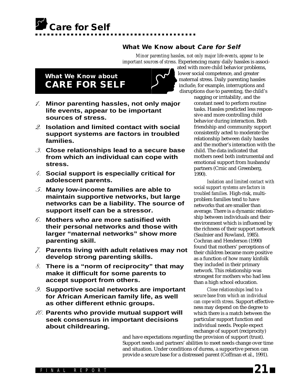

### **What We Know about Care for Self**

*Minor parenting hassles, not only major life events, appear to be important sources of stress.* Experiencing many daily hassles is associ-

### **What We Know about CARE FOR SELF**



- 1. **Minor parenting hassles, not only major life events, appear to be important sources of stress.**
- 2. **Isolation and limited contact with social support systems are factors in troubled families.**
- 3. **Close relationships lead to a secure base from which an individual can cope with stress.**
- 4. **Social support is especially critical for adolescent parents.**
- 5. **Many low-income families are able to maintain supportive networks, but large networks can be a liability. The source of support itself can be a stressor.**
- 6. **Mothers who are more satisified with their personal networks and those with larger "maternal networks" show more parenting skill.**
- 7. **Parents living with adult relatives may not develop strong parenting skills.**
- 8. **There is a "norm of reciprocity" that may make it difficult for some parents to accept support from others.**
- 9. **Supportive social networks are important for African American family life, as well as other different ethnic groups.**
- 10. **Parents who provide mutual support will seek consensus in important decisions about childrearing.**

ated with more child behavior problems, lower social competence, and greater maternal stress. Daily parenting hassles include, for example, interruptions and disruptions due to parenting, the child's

nagging or irritability, and the constant need to perform routine tasks. Hassles predicted less responsive and more controlling child behavior during interaction. Both friendship and community support consistently acted to moderate the relationship between daily hassles and the mother's interaction with the child. The data indicated that mothers need both instrumental and emotional support from husbands/ partners (Crnic and Greenberg, 1990).

*Isolation and limited contact with social support systems are factors in troubled families.* High-risk, multiproblem families tend to have networks that are smaller than average. There is a dynamic relationship between individuals and their environment which is influenced by the richness of their support network (Saulnier and Rowland, 1985). Cochran and Henderson (1990) found that mothers' perceptions of their children became more positive as a function of how many kinfolk they included in their primary network. This relationship was strongest for mothers who had less than a high school education.

*Close relationships lead to a secure base from which an individual can cope with stress.* Support effectiveness may depend on the degree to which there is a match between the particular support function and individual needs. People expect exchange of support (reciprocity)

and have expectations regarding the provision of support (trust). Support needs and partners' abilities to meet needs change over time and situation. Under conditions of duress, a supportive person can provide a secure base for a distressed parent (Coffman et al., 1991).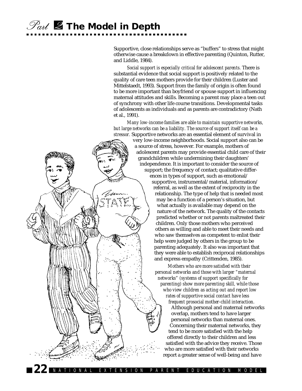Supportive, close relationships serve as "buffers" to stress that might otherwise cause a breakdown in effective parenting (Quinton, Rutter, and Liddle, 1984).

*Social support is especially critical for adolescent parents.* There is substantial evidence that social support is positively related to the quality of care teen mothers provide for their children (Luster and Mittelstaedt, 1993). Support from the family of origin is often found to be more important than boyfriend or spouse support in influencing maternal attitudes and skills. Becoming a parent may place a teen out of synchrony with other life course transitions. Developmental tasks of adolescents as individuals and as parents are contradictory (Nath et al., 1991).

*Many low-income families are able to maintain supportive networks, but large networks can be a liability. The source of support itself can be a stressor.* Supportive networks are an essential element of survival in



very low-income neighborhoods. Social support also can be a source of stress, however. For example, mothers of adolescent parents may provide essential child care of their grandchildren while undermining their daughters' independence. It is important to consider the source of support; the frequency of contact; qualitative differences in types of support, such as emotional/ supportive, instrumental/material, information/ referral, as well as the extent of reciprocity in the relationship. The type of help that is needed most may be a function of a person's situation, but what actually is available may depend on the nature of the network. The quality of the contacts predicted whether or not parents maltreated their children. Only those mothers who perceived others as willing and able to meet their needs and who saw themselves as competent to enlist their help were judged by others in the group to be parenting adequately. It also was important that they were able to establish reciprocal relationships and express empathy (Crittenden, 1985).

> *Mothers who are more satisfied with their personal networks and those with larger "maternal networks" (systems of support specifically for parenting) show more parenting skill, while those who view children as acting out and report low rates of supportive social contact have less*

*frequent prosocial mother-child interaction.* Although personal and maternal networks overlap, mothers tend to have larger personal networks than maternal ones. Concerning their maternal networks, they tend to be more satisfied with the help offered directly to their children and less satisfied with the advice they receive. Those who are more satisfied with their networks report a greater sense of well-being and have

**22** NATIONAL EXTENSION PARENT EDUCATION MODEL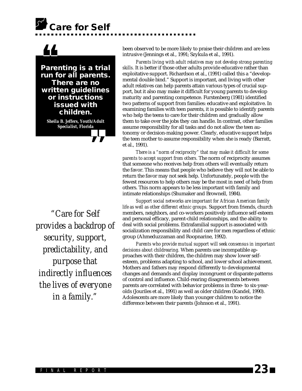# **Care for Self**

**Parenting is a trial run for all parents. There are no written guidelines or instructions issued with children.** ❝

S *Sheila B. Jeffers, Youth/Adult Specialist, Florida* ❞

*"Care for Self provides a backdrop of security, support, predictability, and purpose that indirectly influences the lives of everyone in a family."*

been observed to be more likely to praise their children and are less intrusive (Jennings et al., 1991; Szykula et al., 1991).

*Parents living with adult relatives may not develop strong parenting skills.* It is better if those other adults provide educative rather than exploitative support. Richardson et al., (1991) called this a "developmental double bind." Support is important, and living with other adult relatives can help parents attain various types of crucial support, but it also may make it difficult for young parents to develop maturity and parenting competence. Furstenberg (1981) identified two patterns of support from families: educative and exploitative. In examining families with teen parents, it is possible to identify parents who help the teens to care for their children and gradually allow them to take over the jobs they can handle. In contrast, other families assume responsibility for all tasks and do not allow the teen autonomy or decision-making power. Clearly, educative support helps the teen mother to assume responsibility when she is ready (Barratt, et al., 1991).

*There is a "norm of reciprocity" that may make it difficult for some parents to accept support from others.* The norm of reciprocity assumes that someone who receives help from others will eventually return the favor. This means that people who believe they will not be able to return the favor may not seek help. Unfortunately, people with the fewest resources to help others may be the most in need of help from others. This norm appears to be less important with family and intimate relationships (Shumaker and Brownell, 1984).

*Support social networks are important for African American family life as well as other different ethnic groups.* Support from friends, church members, neighbors, and co-workers positively influence self-esteem and personal efficacy, parent-child relationships, and the ability to deal with social problems. Extrafamilial support is associated with socialization responsibility and child care for men regardless of ethnic group (Ahmeduzzaman and Roopnarine, 1992).

*Parents who provide mutual support will seek consensus in important decisions about childrearing.* When parents use incompatible approaches with their children, the children may show lower selfesteem, problems adapting to school, and lower school achievement. Mothers and fathers may respond differently to developmental changes and demands and display incongruent or disparate patterns of control and influence. Child-rearing disagreements between parents are correlated with behavior problems in three- to six-yearolds (Jouriles et al., 1991) as well as older children (Kandel, 1990). Adolescents are more likely than younger children to notice the difference between their parents (Johnson et al., 1991).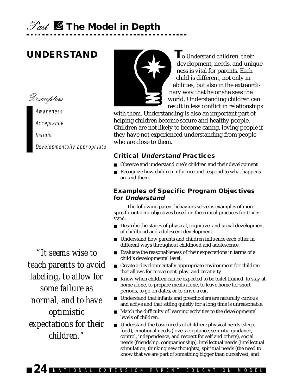## Part 2 **The Model in Depth**

### **UNDERSTAND**

Descriptors

Awareness

Acceptance

Insight

Developmentally appropriate

*teach parents to avoid labeling, to allow for some failure as normal, and to have optimistic expectations for their children."*

*"It seems wise to*



**T**<sup>o</sup> *Understand* children, their development, needs, and uniqueness is vital for parents. Each child is different, not only in abilities, but also in the extraordinary way that he or she sees the world. Understanding children can result in less conflict in relationships

with them. Understanding is also an important part of helping children become secure and healthy people. Children are not likely to become caring, loving people if they have not experienced understanding from people who are close to them.

### **Critical Understand Practices**

- Observe and understand one's children and their development
- Recognize how children influence and respond to what happens around them.

### **Examples of Specific Program Objectives for Understand**

The following parent behaviors serve as examples of more specific outcome objectives based on the critical practices for *Understand:*

- Describe the stages of physical, cognitive, and social development of childhood and adolescent development.
- Understand how parents and children influence each other in different ways throughout childhood and adolescence.
- Evaluate the reasonableness of their expectations in terms of a child's developmental level.
- Create a developmentally appropriate environment for children that allows for movement, play, and creativity.
- Know when children can be expected to be toilet trained, to stay at home alone, to prepare meals alone, to leave home for short periods, to go on dates, or to drive a car.
- Understand that infants and preschoolers are naturally curious and active and that sitting quietly for a long time is unreasonable.
- Match the difficulty of learning activities to the developmental levels of children.
- Understand the basic needs of children: physical needs (sleep, food), emotional needs (love, acceptance, security, guidance, control, independence, and respect for self and others), social needs (friendship, companionship), intellectual needs (intellectual stimulation, thinking new thoughts), spiritual needs (the need to know that we are part of something bigger than ourselves), and

**24** NATIONAL EXTENSION PARENT EDUCATION MODEL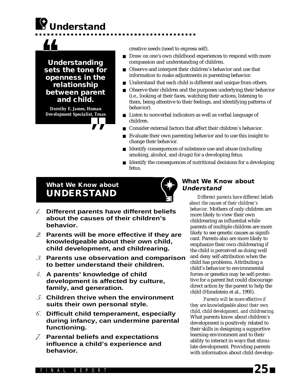

❝

**Understanding sets the tone for openness in the relationship between parent and child.**

St. Texas *Dorothy E. James, Human Development Specialist, Texas* St. 1883 creative needs (need to express self).

- Draw on one's own childhood experiences to respond with more compassion and understanding of children.
- Observe and interpret their children's behavior and use that information to make adjustments in parenting behavior.
- Understand that each child is different and unique from others.
- Observe their children and the purposes underlying their behavior (i.e., looking at their faces, watching their actions, listening to them, being attentive to their feelings, and identifying patterns of behavior).
- Listen to nonverbal indicators as well as verbal language of children.
- Consider external factors that affect their children's behavior.
- Evaluate their own parenting behavior and to use this insight to change their behavior.
- Identify consequences of substance use and abuse (including smoking, alcohol, and drugs) for a developing fetus.
- Identify the consequences of nutritional decisions for a developing fetus.

### **What We Know about UNDERSTAND**



- 1. **Different parents have different beliefs about the causes of their children's behavior.**
- 2. **Parents will be more effective if they are knowledgeable about their own child, child development, and childrearing.**
- 3. **Parents use observation and comparison to better understand their children.**
- 4. **A parents' knowledge of child development is affected by culture, family, and generation.**
- 5. **Children thrive when the environment suits their own personal style.**
- 6. **Difficult child temperament, especially during infancy, can undermine parental functioning.**
- 7. **Parental beliefs and expectations influence a child's experience and behavior.**

### **What We Know about Understand**

*Different parents have different beliefs about the causes of their children's behavior.* Mothers of only children are more likely to view their own childrearing as influential while parents of multiple children are more likely to see genetic causes as significant. Parents also are more likely to emphasize their own childrearing if the child is perceived as doing well and deny self-attribution when the child has problems. Attributing a child's behavior to environmental forces or genetics may be self-protective for a parent but could discourage direct action by the parent to help the child (Himelstein et al., 1991).

*Parents will be more effective if they are knowledgeable about their own child, child development, and childrearing.* What parents know about children's development is positively related to their skills in designing a supportive learning environment and to their ability to interact in ways that stimulate development. Providing parents with information about child develop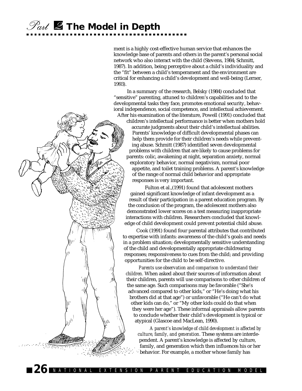ment is a highly cost-effective human service that enhances the knowledge base of parents and others in the parent's personal social network who also interact with the child (Stevens, 1984; Schmitt, 1987). In addition, being perceptive about a child's individuality and the "fit" between a child's temperament and the environment are critical for enhancing a child's development and well-being (Lerner, 1993).

In a summary of the research, Belsky (1984) concluded that "sensitive" parenting, attuned to children's capabilities and to the developmental tasks they face, promotes emotional security, behavioral independence, social competence, and intellectual achievement. After his examination of the literature, Powell (1991) concluded that children's intellectual performance is better when mothers hold accurate judgments about their child's intellectual abilities. Parents' knowledge of difficult developmental phases can help them provide for their children's needs while preventing abuse. Schmitt (1987) identified seven developmental problems with children that are likely to cause problems for parents: colic, awakening at night, separation anxiety, normal exploratory behavior, normal negativism, normal poor appetite, and toilet training problems. A parent's knowledge of the range of normal child behavior and appropriate responses is very important.

Fulton et al.,(1991) found that adolescent mothers gained significant knowledge of infant development as a result of their participation in a parent education program. By the conclusion of the program, the adolescent mothers also demonstrated lower scores on a test measuring inappropriate interactions with children. Researchers concluded that knowledge of child development could prevent potential child abuse.

Cook (1991) found four parental attributes that contributed to expertise with infants: awareness of the child's goals and needs in a problem situation; developmentally sensitive understanding of the child and developmentally appropriate childrearing responses; responsiveness to cues from the child; and providing opportunities for the child to be self-directive.

*Parents use observation and comparison to understand their children.* When asked about their sources of information about their children, parents will use comparisons to other children of the same age. Such comparisons may be favorable ("She's advanced compared to other kids," or "He's doing what his brothers did at that age") or unfavorable ("He can't do what other kids can do," or "My other kids could do that when they were her age"). These informal appraisals allow parents to conclude whether their child's development is typical or atypical (Glascoe and MacLean, 1990).

*A parent's knowledge of child development is affected by culture, family, and generation.* These systems are interdependent. A parent's knowledge is affected by culture, family, and generation which then influences his or her behavior. For example, a mother whose family has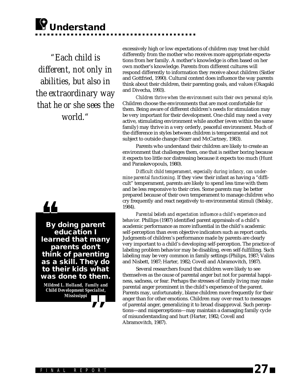

*"Each child is different, not only in abilities, but also in the extraordinary way that he or she sees the world."*

**By doing parent education I learned that many parents don't think of parenting as a skill. They do to their kids what was done to them.** S<br>By do

❞ *Mildred L. Holland, Family and Child Development Specialist, Mississippi*

excessively high or low expectations of children may treat her child differently from the mother who receives more appropriate expectations from her family. A mother's knowledge is often based on her own mother's knowledge. Parents from different cultures will respond differently to information they receive about children (Sistler and Gottfried, 1990). Cultural context does influence the way parents think about their children, their parenting goals, and values (Okagaki and Divecha, 1993).

*Children thrive when the environment suits their own personal style.* Children choose the environments that are most comfortable for them. Being aware of different children's needs for stimulation may be very important for their development. One child may need a very active, stimulating environment while another (even within the same family) may thrive in a very orderly, peaceful environment. Much of the difference in styles between children is temperamental and not subject to outside change (Scarr and McCartney, 1983).

Parents who understand their children are likely to create an environment that challenges them, one that is neither boring because it expects too little nor distressing because it expects too much (Hunt and Paraskevopouls, 1980).

*Difficult child temperament, especially during infancy, can undermine parental functioning.* If they view their infant as having a "difficult" temperament, parents are likely to spend less time with them and be less responsive to their cries. Some parents may be better prepared because of their own temperament to manage children who cry frequently and react negatively to environmental stimuli (Belsky, 1984).

*Parental beliefs and expectation influence a child's experience and behavior.* Phillips (1987) identified parent appraisals of a child's academic performance as more influential in the child's academic self-perception than even objective indicators such as report cards. Judgments of children's performance made by parents are clearly very important to a child's developing self-perception. The practice of labeling problem behavior may be disabling, even self-fulfilling. Such labeling may be very common in family settings (Philips, 1987; Valins and Nisbett, 1987; Harter, 1982; Covell and Abramovitch, 1987).

Several researchers found that children were likely to see themselves as the cause of parental anger but not for parental happiness, sadness, or fear. Perhaps the stresses of family living may make parental anger prominent in the child's experience of the parent. Parents may, unfortunately, blame children more frequently for their anger than for other emotions. Children may over-react to messages of parental anger, generalizing it to broad disapproval. Such perceptions—and misperceptions—may maintain a damaging family cycle of misunderstanding and hurt (Harter, 1982; Covell and Abramovitch, 1987).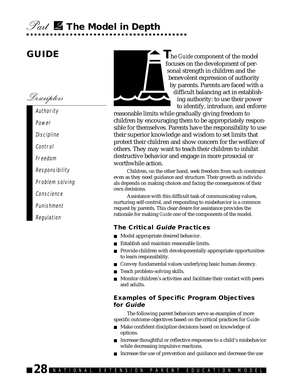## Part 2 **The Model in Depth**

### **GUIDE**

Descriptors

Authority Power **Discipline** Control Freedom Responsibility Problem solving Conscience Punishment

Regulation



**T**he *Guide* component of the model focuses on the development of personal strength in children and the benevolent expression of authority by parents. Parents are faced with a difficult balancing act in establishing authority: to use their power to identify, introduce, and enforce

reasonable limits while gradually giving freedom to children by encouraging them to be appropriately responsible for themselves. Parents have the responsibility to use their superior knowledge and wisdom to set limits that protect their children and show concern for the welfare of others. They may want to teach their children to inhibit destructive behavior and engage in more prosocial or worthwhile action.

Children, on the other hand, seek freedom from such constraint even as they need guidance and structure. Their growth as individuals depends on making choices and facing the consequences of their own decisions.

Assistance with this difficult task of communicating values, nurturing self-control, and responding to misbehavior is a common request by parents. This clear desire for assistance provides the rationale for making *Guide* one of the components of the model.

### **The Critical Guide Practices**

- Model appropriate desired behavior.
- Establish and maintain reasonable limits.
- Provide children with developmentally appropriate opportunities to learn responsibility.
- Convey fundamental values underlying basic human decency.
- Teach problem-solving skills.
- Monitor children's activities and facilitate their contact with peers and adults.

### **Examples of Specific Program Objectives for Guide**

The following parent behaviors serve as examples of more specific outcome objectives based on the critical practices for *Guide:*

- Make confident discipline decisions based on knowledge of options.
- Increase thoughtful or reflective responses to a child's misbehavior while decreasing impulsive reactions.
- Increase the use of prevention and guidance and decrease the use

**28** NATIONAL EXTENSION PARENT EDUCATION MODEL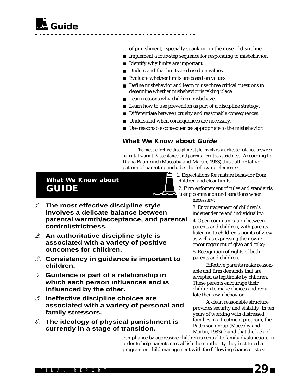of punishment, especially spanking, in their use of discipline.

- Implement a four-step sequence for responding to misbehavior.
- Identify why limits are important.
- Understand that limits are based on values.
- Evaluate whether limits are based on values.
- Define misbehavior and learn to use three critical questions to determine whether misbehavior is taking place.
- Learn reasons why children misbehave.
- Learn how to use prevention as part of a discipline strategy.
- Differentiate between cruelty and reasonable consequences.
- Understand when consequences are necessary.
- Use reasonable consequences appropriate to the misbehavior.

### **What We Know about Guide**

*The most effective discipline style involves a delicate balance between parental warmth/acceptance and parental control/strictness.* According to Diana Baumrind (Maccoby and Martin, 1983) this authoritative pattern of parenting includes the following elements:

### **What We Know about GUIDE**

**Guide**

1. Expectations for mature behavior from children and clear limits;

2. Firm enforcement of rules and standards, using commands and sanctions when

necessary;

3. Encouragement of children's independence and individuality;

4. Open communication between parents and children, with parents listening to children's points of view, as well as expressing their own; encouragement of give-and-take;

5. Recognition of rights of both parents and children.

Effective parents make reasonable and firm demands that are accepted as legitimate by children. These parents encourage their children to make choices and regulate their own behavior.

A clear, reasonable structure provides security and stability. In ten years of working with distressed families in a treatment program, the Patterson group (Maccoby and Martin, 1983) found that the lack of

compliance by aggressive children is central to family dysfunction. In order to help parents reestablish their authority they instituted a program on child management with the following characteristics:

- 1. **The most effective discipline style involves a delicate balance between parental warmth/acceptance, and parental control/strictness.**
- 2. **An authoritative discipline style is associated with a variety of positive outcomes for children.**
- 3. **Consistency in guidance is important to children.**
- 4. **Guidance is part of a relationship in which each person influences and is influenced by the other.**
- 5. **Ineffective discipline choices are associated with a variety of personal and family stressors.**
- 6. **The ideology of physical punishment is currently in a stage of transition.**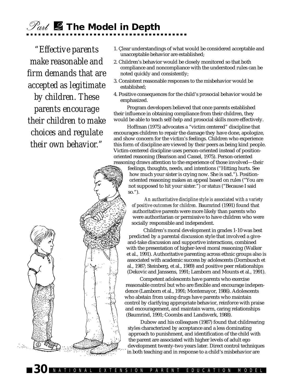## Part 2 **The Model in Depth**

*"Effective parents make reasonable and firm demands that are accepted as legitimate by children. These parents encourage their children to make choices and regulate their own behavior."*



- 1. Çlear understandings of what would be considered acceptable and unacceptable behavior are established;
- 2. Children's behavior would be closely monitored so that both compliance and noncompliance with the understood rules can be noted quickly and consistently;
- 3. Consistent reasonable responses to the misbehavior would be established;
- 4. Positive consequences for the child's prosocial behavior would be emphasized.

Program developers believed that once parents established their influence in obtaining compliance from their children, they would be able to teach self-help and prosocial skills more effectively.

Hoffman (1975) advocates a "victim centered" discipline that encourages children to repair the damage they have done, apologize, and show concern for the victim's feelings. Children who experience this form of discipline are viewed by their peers as being kind people. Victim-centered discipline uses person-oriented instead of positionoriented reasoning (Bearison and Cassel, 1975). Person-oriented reasoning draws attention to the experience of those involved—their

feelings, thoughts, needs, and intentions ("Hitting hurts. See how much your sister is crying now. She is sad."). Positionoriented reasoning makes an appeal based on rules ("You are not supposed to hit your sister.") or status ("Because I said so.").

*An authoritative discipline style is associated with a variety of positive outcomes for children.* Baumrind (1991) found that authoritative parents were more likely than parents who were authoritarian or permissive to have children who were socially responsible and independent.

Children's moral development in grades 1-10 was best predicted by a parental discussion style that involved a giveand-take discussion and supportive interactions, combined with the presentation of higher-level moral reasoning (Walker et al., 1991). Authoritative parenting across ethnic groups also is associated with academic success by adolescents (Dornbusch et al., 1987; Steinberg, et al., 1989) and positive peer relationships (Dekovic and Janssens, 1991; Lamborn and Mounts et al., 1991).

Competent adolescents have parents who exercise reasonable control but who are flexible and encourage independence (Lamborn et al., 1991; Montemayor, 1986). Adolescents who abstain from using drugs have parents who maintain control by clarifying appropriate behavior, reinforce with praise and encouragement, and maintain warm, caring relationships (Baumrind, 1991; Coombs and Landsverk, 1988).

Dubow and his colleagues (1987) found that childrearing styles characterized by acceptance and a less dominating approach to punishment, and identification of the child with the parent are associated with higher levels of adult ego development twenty-two years later. Direct control techniques in both teaching and in response to a child's misbehavior are

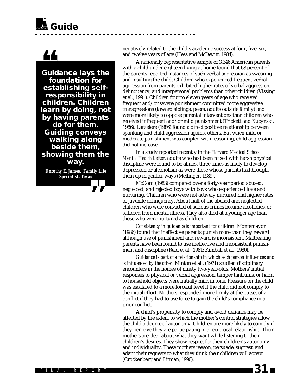

**Guide**

*Dorothy E. James, Family Life Specialist, Texas* ❞ negatively related to the child's academic success at four, five, six, and twelve years of age (Hess and McDevitt, 1984).

A nationally representative sample of 3,346 American parents with a child under eighteen living at home found that 63 percent of the parents reported instances of such verbal aggression as swearing and insulting the child. Children who experienced frequent verbal aggression from parents exhibited higher rates of verbal aggression, delinquency, and interpersonal problems than other children (Vissing et al., 1991). Children four to eleven years of age who received frequent and/or severe punishment committed more aggressive transgressions (toward siblings, peers, adults outside family) and were more likely to oppose parental interventions than children who received infrequent and/or mild punishment (Trickett and Kucynski, 1986). Larzelere (1986) found a direct positive relationship between spanking and child aggression against others. But when mild or moderate punishment was coupled with reasoning, child aggression did not increase.

In a study reported recently in the *Harvard Medical School Mental Health Letter,* adults who had been raised with harsh physical discipline were found to be almost three times as likely to develop depression or alcoholism as were those whose parents had brought them up in gentler ways (Mellinger, 1989).

McCord (1983) compared over a forty-year period abused, neglected, and rejected boys with boys who experienced love and nurturing. Children who were not actively nurtured had higher rates of juvenile delinquency. About half of the abused and neglected children who were convicted of serious crimes became alcoholics, or suffered from mental illness. They also died at a younger age than those who were nurtured as children.

*Consistency in guidance is important for children.* Montemayor (1986) found that ineffective parents punish more than they reward although use of punishment and reward is inconsistent. Maltreating parents have been found to use ineffective and inconsistent punishment and discipline (Reid et al., 1981; Kimball et al., 1980).

*Guidance is part of a relationship in which each person influences and is influenced by the other.* Minton et al., (1971) studied disciplinary encounters in the homes of ninety two-year-olds. Mothers' initial responses to physical or verbal aggression, temper tantrums, or harm to household objects were initially mild in tone. Pressure on the child was escalated to a more forceful level if the child did not comply to the initial effort. Mothers responded more firmly at the outset of a conflict if they had to use force to gain the child's compliance in a prior conflict.

A child's propensity to comply and avoid defiance may be affected by the extent to which the mother's control strategies allow the child a degree of autonomy. Children are more likely to comply if they perceive they are participating in a reciprocal relationship. Their mothers are clear about what they want while listening to their children's desires. They show respect for their children's autonomy and individuality. These mothers reason, persuade, suggest, and adapt their requests to what they think their children will accept (Crockenberg and Litman, 1990).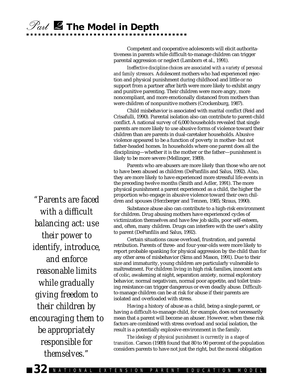Competent and cooperative adolescents will elicit authoritativeness in parents while difficult-to-manage children can trigger parental aggression or neglect (Lamborn et al., 1991).

*Ineffective discipline choices are associated with a variety of personal and family stressors.* Adolescent mothers who had experienced rejection and physical punishment during childhood and little or no support from a partner after birth were more likely to exhibit angry and punitive parenting. Their children were more angry, more noncompliant, and more emotionally distanced from mothers than were children of nonpunitive mothers (Crockenburg, 1987).

Child misbehavior is associated with marital conflict (Reid and Crisafulli, 1990). Parental isolation also can contribute to parent-child conflict. A national survey of 6,000 households revealed that single parents are more likely to use abusive forms of violence toward their children than are parents in dual-caretaker households. Abusive violence appeared to be a function of poverty in mother- but not father-headed homes. In households where one parent does all the disciplining—whether it is the mother or the father—punishment is likely to be more severe (Mellinger, 1989).

Parents who are abusers are more likely than those who are not to have been abused as children (DePanfilis and Salus, 1992). Also, they are more likely to have experienced more stressful life events in the preceding twelve months (Smith and Adler, 1991). The more physical punishment a parent experienced as a child, the higher the proportion who engage in abusive violence toward their own children and spouses (Herzberger and Tennen, 1985; Straus, 1990).

Substance abuse also can contribute to a high-risk environment for children. Drug abusing mothers have experienced cycles of victimization themselves and have few job skills, poor self-esteem, and, often, many children. Drugs can interfere with the user's ability to parent (DePanfilis and Salus, 1992).

Certain situations cause overload, frustration, and parental retribution. Parents of three- and four-year-olds were more likely to report probable spanking for physical aggression by the child than for any other area of misbehavior (Sims and Mason, 1991). Due to their size and immaturity, young children are particularly vulnerable to maltreatment. For children living in high risk families, innocent acts of colic, awakening at night, separation anxiety, normal exploratory behavior, normal negativism, normal poor appetite, and toilet training resistance can trigger dangerous or even deadly abuse. Difficultto-manage children can be at risk for abuse if their parents are isolated and overloaded with stress.

Having a history of abuse as a child, being a single parent, or having a difficult-to-manage child, for example, does not necessarily mean that a parent will become an abuser. However, when these risk factors are combined with stress overload and social isolation, the result is a potentially explosive environment in the family.

*The ideology of physical punishment is currently in a stage of transition.* Carson (1989) found that 80 to 90 percent of the population considers parents to have not just the right, but the moral obligation

*"Parents are faced with a difficult balancing act: use their power to identify, introduce, and enforce reasonable limits while gradually giving freedom to their children by encouraging them to be appropriately responsible for themselves."*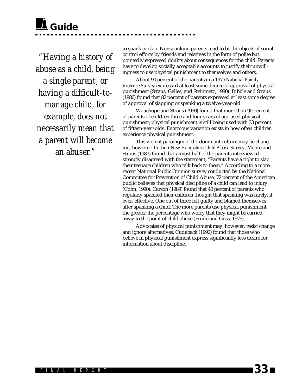

*"Having a history of abuse as a child, being a single parent, or having a difficult-tomanage child, for example, does not necessarily mean that a parent will become an abuser."*

to spank or slap. Nonspanking parents tend to be the objects of social control efforts by friends and relatives in the form of polite but pointedly expressed doubts about consequences for the child. Parents have to develop socially acceptable accounts to justify their unwillingness to use physical punishment to themselves and others.

About 90 percent of the parents in a 1975 *National Family Violence Survey* expressed at least some degree of approval of physical punishment (Straus, Gelles, and Steinmetz, 1980). Dibble and Straus (1980) found that 82 percent of parents expressed at least some degree of approval of slapping or spanking a twelve-year-old.

Wauchope and Straus (1990) found that more than 90 percent of parents of children three and four years of age used physical punishment; physical punishment is still being used with 33 percent of fifteen-year-olds. Enormous variation exists in how often children experience physical punishment.

This violent paradigm of the dominant culture may be changing, however. In their *New Hampshire Child Abuse Survey,* Moore and Straus (1987) found that almost half of the parents interviewed strongly disagreed with the statement, "Parents have a right to slap their teenage children who talk back to them." According to a more recent National Public Opinion survey conducted by the National Committee for Prevention of Child Abuse, 72 percent of the American public believes that physical discipline of a child can lead to injury (Cohn, 1990). Carson (1989) found that 40 percent of parents who regularly spanked their children thought that spanking was rarely, if ever, effective. One out of three felt guilty and blamed themselves after spanking a child. The more parents use physical punishment, the greater the percentage who worry that they might be carried away to the point of child abuse (Frude and Goss, 1979).

Advocates of physical punishment may, however, resist change and ignore alternatives. Cudaback (1992) found that those who believe in physical punishment express significantly less desire for information about discipline.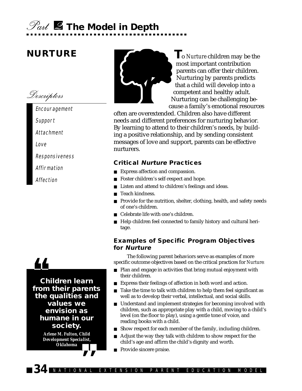## Part 2 **The Model in Depth**

### **NURTURE**

Descriptors

Encouragement

Support

Attachment

Love

Responsiveness

Affirmation

Affection



*Arlene M. Fulton, Child Development Specialist,*



**T**<sup>o</sup> *Nurture* children may be the most important contribution parents can offer their children. Nurturing by parents predicts that a child will develop into a competent and healthy adult. Nurturing can be challenging because a family's emotional resources

often are overextended. Children also have different needs and different preferences for nurturing behavior. By learning to attend to their children's needs, by building a positive relationship, and by sending consistent messages of love and support, parents can be effective nurturers.

### **Critical Nurture Practices**

- Express affection and compassion.
- Foster children's self-respect and hope.
- Listen and attend to children's feelings and ideas.
- Teach kindness.
- Provide for the nutrition, shelter, clothing, health, and safety needs of one's children.
- Celebrate life with one's children.
- Help children feel connected to family history and cultural heritage.

### **Examples of Specific Program Objectives for Nurture**

The following parent behaviors serve as examples of more specific outcome objectives based on the critical practices for *Nurture:*

- Plan and engage in activities that bring mutual enjoyment with their children.
- Express their feelings of affection in both word and action.
- Take the time to talk with children to help them feel significant as well as to develop their verbal, intellectual, and social skills.
- Understand and implement strategies for becoming involved with children, such as appropriate play with a child, moving to a child's level (on the floor to play), using a gentle tone of voice, and reading books with a child.
- Show respect for each member of the family, including children.
- Adjust the way they talk with children to show respect for the child's age and affirm the child's dignity and worth.
- Provide sincere praise.

**34** NATIONAL EXTENSION PARENT EDUCATION MODEL Oklahoma<br>
A T I O N A L E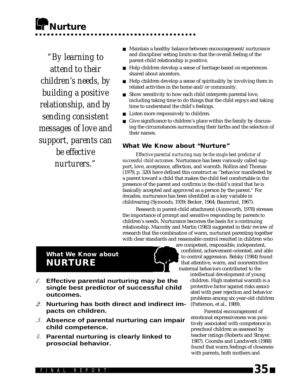

*"By learning to attend to their children's needs, by building a positive relationship, and by sending consistent messages of love and support, parents can be effective nurturers."*

- Maintain a healthy balance between encouragement/nurturance and discipline/setting limits so that the overall feeling of the parent-child relationship is positive.
- Help children develop a sense of heritage based on experiences shared about ancestors.
- Help children develop a sense of spirituality by involving them in related activities in the home and/or community.
- Show sensitivity to how each child interprets parental love, including taking time to do things that the child enjoys and taking time to understand the child's feelings.
- Listen more responsively to children.
- Give significance to children's place within the family by discussing the circumstances surrounding their births and the selection of their names.

### **What We Know about "Nurture"**

*Effective parental nurturing may be the single best predictor of successful child outcomes*. Nurturance has been variously called support, love, acceptance, affection, and warmth. Rollins and Thomas (1979, p. 320) have defined this construct as "behavior manifested by a parent toward a child that makes the child feel comfortable in the presence of the parent and confirms in the child's mind that he is basically accepted and approved as a person by the parent." For decades, nurturance has been identified as a key variable in childrearing (Symonds, 1939; Becker, 1964; Baumrind, 1967).

Research in parent-child attachment (Ainsworth, 1978) stresses the importance of prompt and sensitive responding by parents to children's needs. Nurturance becomes the basis for a continuing relationship. Maccoby and Martin (1983) suggested in their review of research that the combination of warm, nurturant parenting together with clear standards and reasonable control resulted in children who

### **What We Know about NURTURE**



- 1. **Effective parental nurturing may be the single best predictor of successful child outcomes.**
- 2. **Nurturing has both direct and indirect impacts on children.**
- 3. **Absence of parental nurturing can impair child competence.**
- 4. **Parental nurturing is clearly linked to prosocial behavior.**

are competent, responsible, independent, confident, achievement-oriented, and able to control aggression. Belsky (1984) found that attentive, warm, and nonrestrictive maternal behaviors contributed to the intellectual development of young

children. High maternal warmth is a protective factor against risks associated with peer rejection and behavior problems among six-year-old children (Patterson, et al., 1989).

Parental encouragement of emotional expressiveness was positively associated with competence in preschool children as assessed by teacher ratings (Roberts and Strayer, 1987). Coombs and Landsverk (1988) found that warm feelings of closeness with parents, both mothers and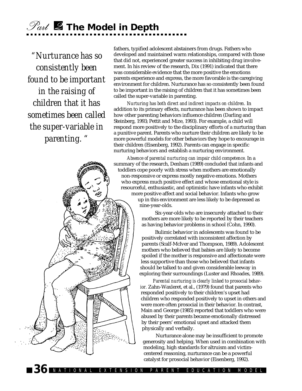## Part 2 **The Model in Depth**

*"Nurturance has so consistently been found to be important in the raising of children that it has sometimes been called the super-variable in parenting. "*



fathers, typified adolescent abstainers from drugs. Fathers who developed and maintained warm relationships, compared with those that did not, experienced greater success in inhibiting drug involvement. In his review of the research, Dix (1991) indicated that there was considerable evidence that the more positive the emotions parents experience and express, the more favorable is the caregiving environment for children. Nurturance has so consistently been found to be important in the raising of children that it has sometimes been called the super-variable in parenting.

*Nurturing has both direct and indirect impacts on children.* In addition to its primary effects, nurturance has been shown to impact how other parenting behaviors influence children (Darling and Steinberg, 1993; Pettit and Mize, 1993). For example, a child will respond more positively to the disciplinary efforts of a nurturing than a punitive parent. Parents who nurture their children are likely to be more powerful models for other behaviors they hope to encourage in their children (Eisenberg, 1992). Parents can engage in specific nurturing behaviors and establish a nurturing environment.

*Absence of parental nurturing can impair child competence.* In a summary of the research, Denham (1989) concluded that infants and toddlers cope poorly with stress when mothers are emotionally non-responsive or express mostly negative emotions. Mothers who express much positive effect and whose emotional style is resourceful, enthusiastic, and optimistic have infants who exhibit more positive affect and social behavior. Infants who grow

up in this environment are less likely to be depressed as nine-year-olds.

Six-year-olds who are insecurely attached to their mothers are more likely to be reported by their teachers as having behavior problems in school (Cohn, 1990).

Bulimic behavior in adolescents was found to be positively correlated with inconsistent affection by parents (Scalf-McIver and Thompson, 1989). Adolescent mothers who believed that babies are likely to become spoiled if the mother is responsive and affectionate were less supportive than those who believed that infants should be talked to and given considerable leeway in exploring their surroundings (Luster and Rhoades, 1989).

*Parental nurturing is clearly linked to prosocial behavior.* Zahn-Waxleret, et al., (1979) found that parents who responded positively to their children's upset had children who responded positively to upset in others and were more often prosocial in their behavior. In contrast, Main and George (1985) reported that toddlers who were abused by their parents became emotionally distressed by their peers' emotional upset and attacked them physically and verbally.

Nurturance alone may be insufficient to promote generosity and helping. When used in combination with modeling, high standards for altruism and victimcentered reasoning, nurturance can be a powerful catalyst for prosocial behavior (Eisenberg, 1992).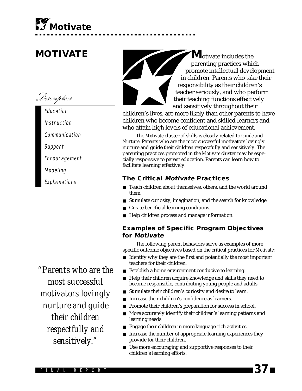# **Motivate**

## **MOTIVATE**

Descriptors

Education

Instruction

Communication

Support

Encouragement

Modeling

Explainations

*"Parents who are the most successful motivators lovingly nurture and guide their children respectfully and sensitively."*



**M**otivate includes the parenting practices which promote intellectual development in children. Parents who take their responsibility as their children's teacher seriously, and who perform their teaching functions effectively and sensitively throughout their

children's lives, are more likely than other parents to have children who become confident and skilled learners and who attain high levels of educational achievement.

The *Motivate* cluster of skills is closely related to *Guide* and *Nurture*. Parents who are the most successful motivators lovingly nurture and guide their children respectfully and sensitively. The parenting practices promoted in the *Motivate* cluster may be especially responsive to parent education. Parents can learn how to facilitate learning effectively.

#### **The Critical Motivate Practices**

- Teach children about themselves, others, and the world around them.
- Stimulate curiosity, imagination, and the search for knowledge.
- Create beneficial learning conditions.
- Help children process and manage information.

#### **Examples of Specific Program Objectives for Motivate**

The following parent behaviors serve as examples of more specific outcome objectives based on the critical practices for *Motivate:*

- Identify why they are the first and potentially the most important teachers for their children.
- Establish a home environment conducive to learning.
- Help their children acquire knowledge and skills they need to become responsible, contributing young people and adults.
- Stimulate their children's curiosity and desire to learn.
- Increase their children's confidence as learners.
- Promote their children's preparation for success in school.
- More accurately identify their children's learning patterns and learning needs.
- Engage their children in more language-rich activities.
- Increase the number of appropriate learning experiences they provide for their children.
- Use more encouraging and supportive responses to their children's learning efforts.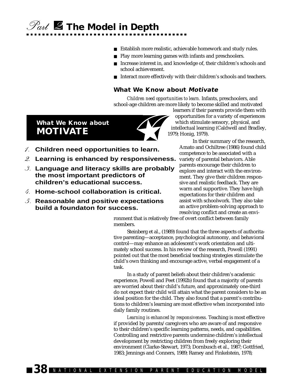## Part 2 **The Model in Depth**

- Establish more realistic, achievable homework and study rules.
- Play more learning games with infants and preschoolers.
- Increase interest in, and knowledge of, their children's schools and school achievement.
- Interact more effectively with their children's schools and teachers.

#### **What We Know about Motivate**

*Children need opportunities to learn.* Infants, preschoolers, and school-age children are more likely to become skilled and motivated

## **What We Know about MOTIVATE**



- 1. **Children need opportunities to learn.**
- 2. **Learning is enhanced by responsiveness.**
- 3. **Language and literacy skills are probably the most important predictors of children's educational success.**
- 4. **Home-school collaboration is critical.**
- 5. **Reasonable and positive expectations build a foundaton for success.**

learners if their parents provide them with opportunities for a variety of experiences which stimulate sensory, physical, and intellectual learning (Caldwell and Bradley, 1979; Honig, 1979).

> In their summary of the research, Amato and Ochiltree (1986) found child competence to be associated with a variety of parental behaviors. Able parents encourage their children to explore and interact with the environment. They give their children responsive and realistic feedback. They are warm and supportive. They have high expectations for their children and assist with schoolwork. They also take an active problem-solving approach to resolving conflict and create an envi-

ronment that is relatively free of overt conflict between family members.

Steinberg et al., (1989) found that the three aspects of authoritative parenting—acceptance, psychological autonomy, and behavioral control—may enhance an adolescent's work orientation and ultimately school success. In his review of the research, Powell (1991) pointed out that the most beneficial teaching strategies stimulate the child's own thinking and encourage active, verbal engagement of a task.

In a study of parent beliefs about their children's academic experience, Powell and Peet (1992b) found that a majority of parents are worried about their child's future, and approximately one-third do not expect their child will attain what the parent considers to be an ideal position for the child. They also found that a parent's contributions to children's learning are most effective when incorporated into daily family routines.

*Learning is enhanced by responsiveness.* Teaching is most effective if provided by parents/caregivers who are aware of and responsive to their children's specific learning patterns, needs, and capabilities. Controlling and restrictive parents undermine children's intellectual development by restricting children from freely exploring their environment (Clarke-Stewart, 1973; Dornbusch et al., 1987; Gottfried, 1983; Jennings and Conners, 1989; Ramey and Finkelstein, 1978;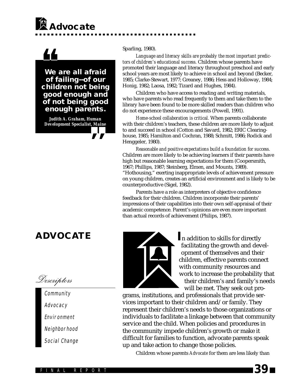



❞ *Judith A. Graham, Human Development Specialist, Maine*

#### Sparling, 1980).

*Language and literacy skills are probably the most important predictors of children's educational success.* Children whose parents have promoted their language and literacy throughout preschool and early school years are most likely to achieve in school and beyond (Becker, 1985; Clarke-Stewart, 1977; Greaney, 1986; Hess and Holloway, 1984; Honig, 1982; Laosa, 1982; Tizard and Hughes, 1984).

Children who have access to reading and writing materials, who have parents who read frequently to them and take them to the library have been found to be more skilled readers than children who do not experience these encouragements (Powell, 1991).

*Home-school collaboration is critical.* When parents collaborate with their children's teachers, these children are more likely to adjust to and succeed in school (Cotton and Savard, 1982; ERIC Clearinghouse, 1985; Hamilton and Cochran, 1988; Schmitt, 1986; Rodick and Henggeler, 1980).

*Reasonable and positive expectations build a foundation for success.* Children are more likely to be achieving learners if their parents have high but reasonable learning expectations for them (Coopersmith, 1967; Phillips, 1987; Steinberg, Elmen, and Mounts, 1989). "Hothousing," exerting inappropriate levels of achievement pressure on young children, creates an artificial environment and is likely to be counterproductive (Sigel, 1982).

Parents have a role as interpreters of objective confidence feedback for their children. Children incorporate their parents' impressions of their capabilities into their own self-appraisal of their academic competence. Parent's opinions are even more important than actual records of achievement (Philips, 1987).

## **ADVOCATE**

Descriptors

**Community** Advocacy Environment Neighborhood Social Change



**I**<sup>n</sup> addition to skills for directly facilitating the growth and development of themselves and their children, effective parents connect with community resources and work to increase the probability that their children's and family's needs will be met. They seek out pro-

grams, institutions, and professionals that provide services important to their children and/or family. They represent their children's needs to those organizations or individuals to facilitate a linkage between that community service and the child. When policies and procedures in the community impede children's growth or make it difficult for families to function, advocate parents speak up and take action to change those policies.

Children whose parents *Advocate* for them are less likely than

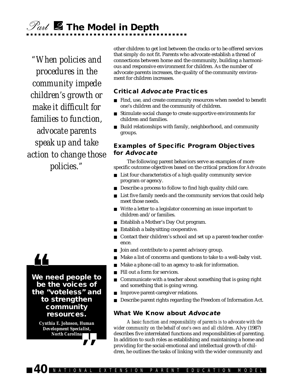Part 2 **The Model in Depth**

*"When policies and procedures in the community impede children's growth or make it difficult for families to function, advocate parents speak up and take action to change those policies."*



*Cynthia E. Johnson, Human Development Specialist, North Carolina*  other children to get lost between the cracks or to be offered services that simply do not fit. Parents who advocate establish a thread of connections between home and the community, building a harmonious and responsive environment for children. As the number of advocate parents increases, the quality of the community environment for children increases.

#### **Critical Advocate Practices**

- Find, use, and create community resources when needed to benefit one's children and the community of children.
- Stimulate social change to create supportive environments for children and families.
- Build relationships with family, neighborhood, and community groups.

#### **Examples of Specific Program Objectives for Advocate**

The following parent behaviors serve as examples of more specific outcome objectives based on the critical practices for *Advocate:*

- List four characteristics of a high quality community service program or agency.
- Describe a process to follow to find high quality child care.
- List five family needs and the community services that could help meet those needs.
- Write a letter to a legislator concerning an issue important to children and/or families.
- Establish a Mother's Day Out program.
- Establish a babysitting cooperative.
- Contact their children's school and set up a parent-teacher conference.
- Join and contribute to a parent advisory group.
- Make a list of concerns and questions to take to a well-baby visit.
- Make a phone call to an agency to ask for information.
- Fill out a form for services.
- Communicate with a teacher about something that is going right and something that is going wrong.
- Improve parent-caregiver relations.
- Describe parent rights regarding the Freedom of Information Act.

#### **What We Know about Advocate**

*A basic function and responsibility of parents is to advocate with the wider community on the behalf of one's own and all children.* Alvy (1987) describes five interrelated functions and responsibilities of parenting. In addition to such roles as establishing and maintaining a home and providing for the social-emotional and intellectual growth of children, he outlines the tasks of linking with the wider community and

**40** NATIONAL EXTENSION PARENT EDUCATION MODEL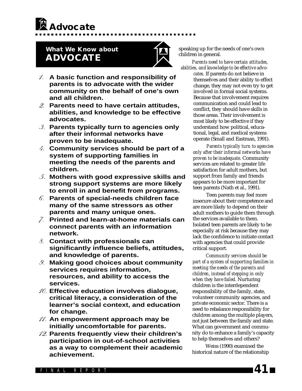

### **What We Know about ADVOCATE**



- 1. **A basic function and responsibility of parents is to advocate with the wider community on the behalf of one's own and all children.**
- 2. **Parents need to have certain attitudes, abilities, and knowledge to be effective advocates.**
- 3. **Parents typically turn to agencies only after their informal networks have proven to be inadequate.**
- 4. **Community services should be part of a system of supporting families in meeting the needs of the parents and children.**
- 5. **Mothers with good expressive skills and strong support systems are more likely to enroll in and benefit from programs.**
- 6. **Parents of special-needs children face many of the same stressors as other parents and many unique ones.**
- 7. **Printed and learn-at-home materials can connect parents with an information network.**
- 8. **Contact with professionals can significantly influence beliefs, attitudes, and knowledge of parents.**
- 9. **Making good choices about community services requires information, resources, and ability to access the services.**
- 10. **Effective education involves dialogue, critical literacy, a consideration of the learner's social context, and education for change.**
- 11. **An empowerment approach may be initially uncomfortable for parents.**
- 12. **Parents frequently view their children's participation in out-of-school activities as a way to complement their academic achievement.**

speaking up for the needs of one's own children in general.

*Parents need to have certain attitudes, abilities, and knowledge to be effective advo-*

> *cates.* If parents do not believe in themselves and their ability to effect change, they may not even try to get involved in formal social systems. Because that involvement requires communication and could lead to conflict, they should have skills in those areas. Their involvement is most likely to be effective if they understand how political, educational, legal, and medical systems operate (Small and Eastman, 1991).

> *Parents typically turn to agencies only after their informal networks have proven to be inadequate.* Community services are related to greater life satisfaction for adult mothers, but support from family and friends appears to be more important for teen parents (Nath et al., 1991).

> Teen parents may feel more insecure about their competence and are more likely to depend on their adult mothers to guide them through the services available to them. Isolated teen parents are likely to be especially at risk because they may lack the confidence to initiate contact with agencies that could provide critical support.

> *Community services should be part of a system of supporting families in meeting the needs of the parents and children, instead of stepping in only when they have failed.* Nurturing children is the interdependent responsibility of the family, state, volunteer community agencies, and private economic sector. There is a need to rebalance responsibility for children among the multiple players, not just between the family and state. What can government and community do to enhance a family's capacity to help themselves and others?

Weiss (1990) examined the historical nature of the relationship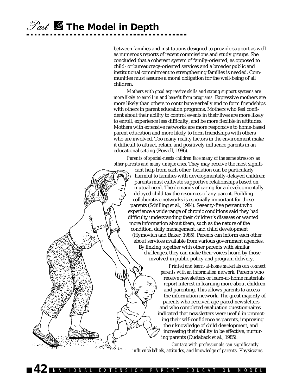between families and institutions designed to provide support as well as numerous reports of recent commissions and study groups. She concluded that a coherent system of family-oriented, as opposed to child- or bureaucracy-oriented services and a broader public and institutional commitment to strengthening families is needed. Communities must assume a moral obligation for the well-being of all children.

*Mothers with good expressive skills and strong support systems are more likely to enroll in and benefit from programs.* Expressive mothers are more likely than others to contribute verbally and to form friendships with others in parent education programs. Mothers who feel confident about their ability to control events in their lives are more likely to enroll, experience less difficulty, and be more flexible in attitudes. Mothers with extensive networks are more responsive to home-based parent education and more likely to form friendships with others who are involved. Too many reality factors in the environment make it difficult to attract, retain, and positively influence parents in an educational setting (Powell, 1986).

*Parents of special-needs children face many of the same stressors as other parents and many unique ones.* They may receive the most signifi-

cant help from each other. Isolation can be particularly harmful to families with developmentally-delayed children; parents must cultivate supportive relationships based on mutual need. The demands of caring for a developmentallydelayed child tax the resources of any parent. Building collaborative networks is especially important for these parents (Schilling et al., 1984). Seventy-five percent who experience a wide range of chronic conditions said they had difficulty understanding their children's diseases or wanted more information about them, such as the nature of the condition, daily management, and child development (Hymovich and Baker, 1985). Parents can inform each other about services available from various government agencies. By linking together with other parents with similar challenges, they can make their voices heard by those involved in public policy and program delivery.

> *Printed and learn-at-home materials can connect parents with an information network.* Parents who receive newsletters or learn-at-home materials report interest in learning more about children and parenting. This allows parents to access the information network. The great majority of parents who received age-paced newsletters and who completed evaluation questionnaires indicated that newsletters were useful in promoting their self-confidence as parents, improving their knowledge of child development, and increasing their ability to be effective, nurturing parents (Cudaback et al., 1985).

*Contact with professionals can significantly influence beliefs, attitudes, and knowledge of parents.* Physicians

**42** NATIONAL EXTENSION PARENT EDUCATION MODEL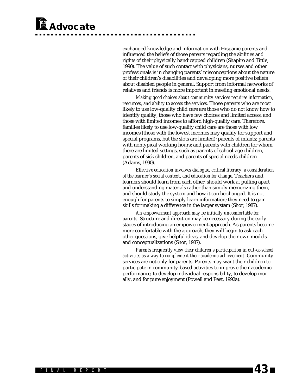

exchanged knowledge and information with Hispanic parents and influenced the beliefs of those parents regarding the abilities and rights of their physically handicapped children (Shapiro and Tittle, 1990). The value of such contact with physicians, nurses and other professionals is in changing parents' misconceptions about the nature of their children's disabilities and developing more positive beliefs about disabled people in general. Support from informal networks of relatives and friends is more important in meeting emotional needs.

*Making good choices about community services requires information, resources, and ability to access the services.* Those parents who are most likely to use low-quality child care are those who do not know how to identify quality, those who have few choices and limited access, and those with limited incomes to afford high-quality care. Therefore, families likely to use low-quality child care are those with low incomes (those with the lowest incomes may qualify for support and special programs, but the slots are limited); parents of infants; parents with nontypical working hours; and parents with children for whom there are limited settings, such as parents of school-age children, parents of sick children, and parents of special needs children (Adams, 1990).

*Effective education involves dialogue, critical literacy, a consideration of the learner's social context, and education for change.* Teachers and learners should learn from each other, should work at pulling apart and understanding materials rather than simply memorizing them, and should study the system and how it can be changed. It is not enough for parents to simply learn information; they need to gain skills for making a difference in the larger system (Shor, 1987).

*An empowerment approach may be initially uncomfortable for parents.* Structure and direction may be necessary during the early stages of introducing an empowerment approach. As parents become more comfortable with the approach, they will begin to ask each other questions, give helpful ideas, and develop their own models and conceptualizations (Shor, 1987).

*Parents frequently view their children's participation in out-of-school activities as a way to complement their academic achievement.* Community services are not only for parents. Parents may want their children to participate in community-based activities to improve their academic performance, to develop individual responsibility, to develop morally, and for pure enjoyment (Powell and Peet, 1992a).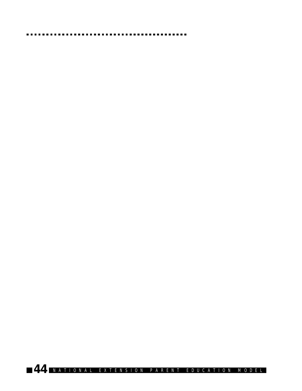....................

# **44** NATIONAL EXTENSION PARENT EDUCATION MODEL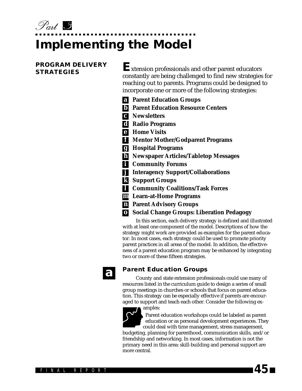# **Implementing the Model** Part 3

## **PROGRAM DELIVERY**

**STRATEGIES EXTERGER** EXTENSION professionals and other parent educators constantly are being challenged to find new strategies for reaching out to parents. Programs could be designed to incorporate one or more of the following strategies:

- **a Parent Education Groups**
- **b Parent Education Resource Centers**
- **c Newsletters**
- **d Radio Programs**
- **e Home Visits**
- **f Mentor Mother/Godparent Programs**
- **g Hospital Programs**
- **h Newspaper Articles/Tabletop Messages**
- **i Community Forums**
- **j Interagency Support/Collaborations**
- **k Support Groups**
- **l Community Coalitions/Task Forces**
- **m Learn-at-Home Programs**
- **n Parent Advisory Groups**
- **o Social Change Groups: Liberation Pedagogy**

In this section, each delivery strategy is defined and illustrated with at least one component of the model. Descriptions of how the strategy might work are provided as examples for the parent educator. In most cases, each strategy could be used to promote priority parent practices in all areas of the model. In addition, the effectiveness of a parent education program may be enhanced by integrating two or more of these fifteen strategies.

## **a**

#### **Parent Education Groups**

County and state extension professionals could use many of resources listed in the curriculum guide to design a series of small group meetings in churches or schools that focus on parent education. This strategy can be especially effective if parents are encouraged to support and teach each other. Consider the following examples:



Parent education workshops could be labeled as parent education or as personal development experiences. They could deal with time management, stress management,

budgeting, planning for parenthood, communication skills, and/or friendship and networking. In most cases, information is not the primary need in this area: skill-building and personal support are more central.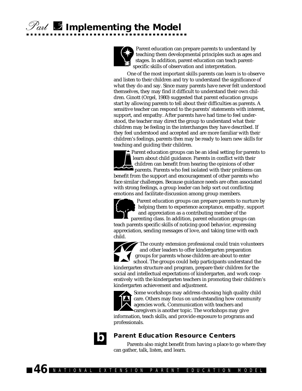**Part 3 Implementing the Model** 



Parent education can prepare parents to understand by teaching them developmental principles such as ages and stages. In addition, parent education can teach parentspecific skills of observation and interpretation.

One of the most important skills parents can learn is to observe and listen to their children and try to understand the significance of what they do and say. Since many parents have never felt understood themselves, they may find it difficult to understand their own children. Ginott (Orgel, 1980) suggested that parent education groups start by allowing parents to tell about their difficulties as parents. A sensitive teacher can respond to the parents' statements with interest, support, and empathy. After parents have had time to feel understood, the teacher may direct the group to understand what their children may be feeling in the interchanges they have described. If they feel understood and accepted and are more familiar with their children's feelings, parents then may be ready to learn new skills for teaching and guiding their children.

Parent education groups can be an ideal setting for parents to learn about child guidance. Parents in conflict with their children can benefit from hearing the opinions of other parents. Parents who feel isolated with their problems can

benefit from the support and encouragement of other parents who face similar challenges. Because guidance needs are often associated with strong feelings, a group leader can help sort out conflicting emotions and facilitate discussion among group members.



Parent education groups can prepare parents to nurture by helping them to experience acceptance, empathy, support and appreciation as a contributing member of the parenting class. In addition, parent education groups can

teach parents specific skills of noticing good behavior, expressing appreciation, sending messages of love, and taking time with each child.



The county extension professional could train volunteers and other leaders to offer kindergarten preparation groups for parents whose children are about to enter school. The groups could help participants understand the

kindergarten structure and program, prepare their children for the social and intellectual expectations of kindergarten, and work cooperatively with the kindergarten teachers in promoting their children's kindergarten achievement and adjustment.

Some workshops may address choosing high quality child care. Others may focus on understanding how community agencies work. Communication with teachers and caregivers is another topic. The workshops may give information, teach skills, and provide exposure to programs and professionals.



#### **Parent Education Resource Centers**

Parents also might benefit from having a place to go where they can gather, talk, listen, and learn.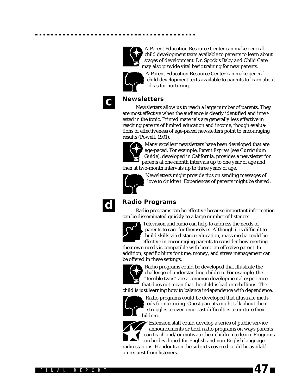

A Parent Education Resource Center can make general child development texts available to parents to learn about stages of development. Dr. Spock's Baby and Child Care may also provide vital basic training for new parents.



A Parent Education Resource Center can make general child development texts available to parents to learn about ideas for nurturing.



#### **Newsletters**

Newsletters allow us to reach a large number of parents. They are most effective when the audience is clearly identified and interested in the topic. Printed materials are generally less effective in reaching parents of limited education and income, though evaluations of effectiveness of age-paced newsletters point to encouraging results (Powell, 1991).



Many excellent newsletters have been developed that are age-paced. For example, *Parent Express* (see Curriculum Guide), developed in California, provides a newsletter for parents at one-month intervals up to one year of age and

then at two-month intervals up to three years of age.



Newsletters might provide tips on sending messages of love to children. Experiences of parents might be shared.



#### **Radio Programs**

Radio programs can be effective because important information can be disseminated quickly to a large number of listeners.



Television and radio can help to address the needs of parents to care for themselves. Although it is difficult to build skills via distance education, mass media could be effective in encouraging parents to consider how meeting

their own needs is compatible with being an effective parent. In addition, specific hints for time, money, and stress management can be offered in these settings.



Radio programs could be developed that illustrate the challenge of understanding children. For example, the "terrible twos" are a common developmental experience that does not mean that the child is bad or rebellious. The

child is just learning how to balance independence with dependence.



Radio programs could be developed that illustrate methods for nurturing. Guest parents might talk about their struggles to overcome past difficulties to nurture their  $\int$ children.

Extension staff could develop a series of public service announcements or brief radio programs on ways parents can teach and/or motivate their children to learn. Programs can be developed for English and non-English language

radio stations. Handouts on the subjects covered could be available on request from listeners.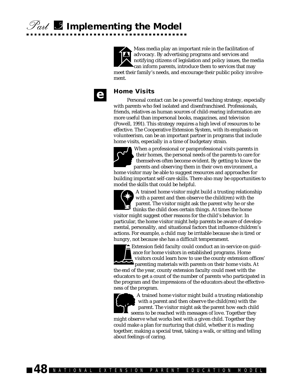

Mass media play an important role in the facilitation of advocacy. By advertising programs and services and notifying citizens of legislation and policy issues, the media can inform parents, introduce them to services that may meet their family's needs, and encourage their public policy involvement.



#### **Home Visits**

Personal contact can be a powerful teaching strategy, especially with parents who feel isolated and disenfranchised. Professionals, friends, relatives as human sources of child-rearing information are more useful than impersonal books, magazines, and television (Powell, 1991). This strategy requires a high level of resources to be effective. The Cooperative Extension System, with its emphasis on volunteerism, can be an important partner in programs that include home visits, especially in a time of budgetary strain.



When a professional or paraprofessional visits parents in their homes, the personal needs of the parents to care for themselves often become evident. By getting to know the parents and observing them in their own environment, a

home visitor may be able to suggest resources and approaches for building important self-care skills. There also may be opportunities to model the skills that could be helpful.



A trained home visitor might build a trusting relationship with a parent and then observe the child(ren) with the parent. The visitor might ask the parent why he or she thinks the child does certain things. At times the home

visitor might suggest other reasons for the child's behavior. In particular, the home visitor might help parents be aware of developmental, personality, and situational factors that influence children's actions. For example, a child may be irritable because she is tired or hungry, not because she has a difficult temperament.



Extension field faculty could conduct an in-service on guidance for home visitors in established programs. Home visitors could learn how to use the county extension offices' parenting materials with parents on their home visits. At

the end of the year, county extension faculty could meet with the educators to get a count of the number of parents who participated in the program and the impressions of the educators about the effectiveness of the program.

A trained home visitor might build a trusting relationship with a parent and then observe the child(ren) with the parent. The visitor might ask the parent how each child

seems to be reached with messages of love. Together they might observe what works best with a given child. Together they could make a plan for nurturing that child, whether it is reading together, making a special treat, taking a walk, or sitting and telling about feelings of caring.

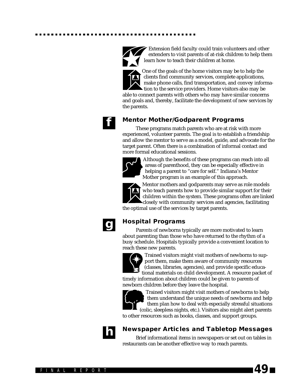

Extension field faculty could train volunteers and other extenders to visit parents of at-risk children to help them learn how to teach their children at home.

One of the goals of the home visitors may be to help the clients find community services, complete applications, make phone calls, find transportation, and convey information to the service providers. Home visitors also may be able to connect parents with others who may have similar concerns

and goals and, thereby, facilitate the development of new services by the parents.



#### **Mentor Mother/Godparent Programs**

These programs match parents who are at risk with more experienced, volunteer parents. The goal is to establish a friendship and allow the mentor to serve as a model, guide, and advocate for the target parent. Often there is a combination of informal contact and more formal educational sessions.



Although the benefits of these programs can reach into all areas of parenthood, they can be especially effective in helping a parent to "care for self." Indiana's Mentor Mother program is an example of this approach.



Mentor mothers and godparents may serve as role models who teach parents how to provide similar support for their children within the system. These programs often are linked closely with community services and agencies, facilitating

the optimal use of the services by target parents.



#### **Hospital Programs**

Parents of newborns typically are more motivated to learn about parenting than those who have returned to the rhythm of a busy schedule. Hospitals typically provide a convenient location to reach these new parents.



Trained visitors might visit mothers of newborns to support them, make them aware of community resources (classes, libraries, agencies), and provide specific educational materials on child development. A resource packet of

timely information about children could be given to parents of newborn children before they leave the hospital.



Trained visitors might visit mothers of newborns to help them understand the unique needs of newborns and help them plan how to deal with especially stressful situations (colic, sleepless nights, etc.). Visitors also might alert parents

to other resources such as books, classes, and support groups.



#### **Newspaper Articles and Tabletop Messages**

Brief informational items in newspapers or set out on tables in restaurants can be another effective way to reach parents.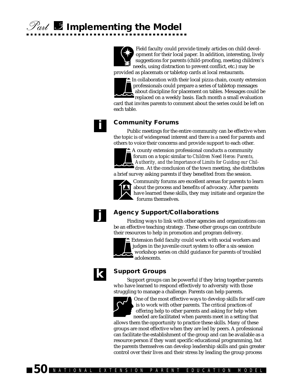**Part 3 Implementing the Model** 

Field faculty could provide timely articles on child development for their local paper. In addition, interesting, lively suggestions for parents (child-proofing, meeting children's needs, using distraction to prevent conflict, etc.) may be provided as placemats or tabletop cards at local restaurants.

In collaboration with their local pizza chain, county extension professionals could prepare a series of tabletop messages about discipline for placement on tables. Messages could be replaced on a weekly basis. Each month a small evaluation

card that invites parents to comment about the series could be left on each table.

#### **Community Forums**

Public meetings for the entire community can be effective when the topic is of widespread interest and there is a need for parents and others to voice their concerns and provide support to each other.



A county extension professional conducts a community forum on a topic similar to *Children Need Heros: Parents, Authority, and the Importance of Limits for Guiding our Children.* At the conclusion of the town meeting, she distributes

a brief survey asking parents if they benefited from the session.



Community forums are excellent arenas for parents to learn about the process and benefits of advocacy. After parents have learned these skills, they may initiate and organize the forums themselves.



**i**

#### **Agency Support/Collaborations**

Finding ways to link with other agencies and organizations can be an effective teaching strategy. These other groups can contribute their resources to help in promotion and program delivery.



Extension field faculty could work with social workers and judges in the juvenile court system to offer a six-session workshop series on child guidance for parents of troubled adolescents.



#### **Support Groups**

**50** NATIONAL EXTENSION PARENT EDUCATION MODEL

Support groups can be powerful if they bring together parents who have learned to respond effectively to adversity with those struggling to manage a challenge. Parents can help parents.



One of the most effective ways to develop skills for self-care is to work with other parents. The critical practices of offering help to other parents and asking for help when needed are facilitated when parents meet in a setting that

allows them the opportunity to practice these skills. Many of these groups are most effective when they are led by peers. A professional can facilitate the establishment of the group and can be available as a resource person if they want specific educational programming, but the parents themselves can develop leadership skills and gain greater control over their lives and their stress by leading the group process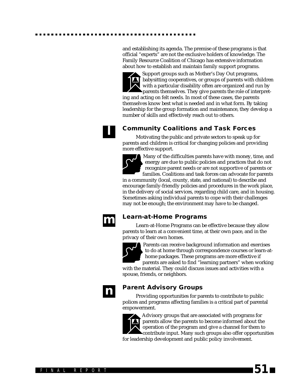and establishing its agenda. The premise of these programs is that official "experts" are not the exclusive holders of knowledge. The Family Resource Coalition of Chicago has extensive information about how to establish and maintain family support programs.

Support groups such as Mother's Day Out programs, babysitting cooperatives, or groups of parents with children with a particular disability often are organized and run by parents themselves. They give parents the role of interpreting and acting on felt needs. In most of these cases, the parents themselves know best what is needed and in what form. By taking leadership for the group formation and maintenance, they develop a number of skills and effectively reach out to others.

**l**

#### **Community Coalitions and Task Forces**

Motivating the public and private sectors to speak up for parents and children is critical for changing policies and providing more effective support.

> Many of the difficulties parents have with money, time, and energy are due to public policies and practices that do not recognize parent needs or are not supportive of parents or families. Coalitions and task forces can advocate for parents

in a community (local, county, state, and national) to describe and encourage family-friendly policies and procedures in the work place, in the delivery of social services, regarding child care, and in housing. Sometimes asking individual parents to cope with their challenges may not be enough; the environment may have to be changed.



#### **Learn-at-Home Programs**

Learn-at-Home Programs can be effective because they allow parents to learn at a convenient time, at their own pace, and in the privacy of their own homes.



Parents can receive background information and exercises to do at home through correspondence courses or learn-athome packages. These programs are more effective if parents are asked to find "learning partners" when working

with the material. They could discuss issues and activities with a spouse, friends, or neighbors.



#### **Parent Advisory Groups**

Providing opportunities for parents to contribute to public polices and programs affecting families is a critical part of parental empowerment.



Advisory groups that are associated with programs for parents allow the parents to become informed about the operation of the program and give a channel for them to contribute input. Many such groups also offer opportunities

for leadership development and public policy involvement.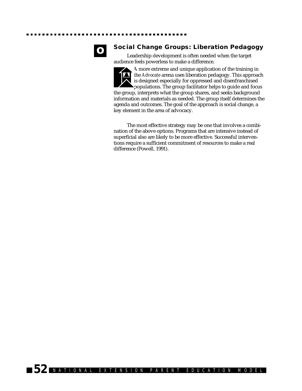## **o**

#### **Social Change Groups: Liberation Pedagogy**

Leadership development is often needed when the target audience feels powerless to make a difference.



A more extreme and unique application of the training in the *Advocate* arena uses liberation pedagogy. This approach is designed especially for oppressed and disenfranchised populations. The group facilitator helps to guide and focus

the group, interprets what the group shares, and seeks background information and materials as needed. The group itself determines the agenda and outcomes. The goal of the approach is social change, a key element in the area of advocacy.

The most effective strategy may be one that involves a combination of the above options. Programs that are intensive instead of superficial also are likely to be more effective. Successful interventions require a sufficient commitment of resources to make a real difference (Powell, 1991).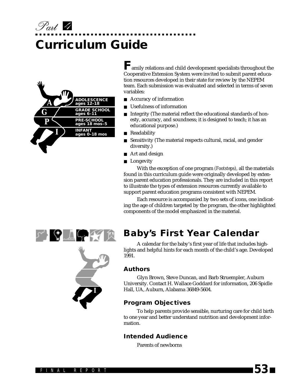# **Curriculum Guide**



Part 4

**F**amily relations and child development specialists throughout the Cooperative Extension System were invited to submit parent education resources developed in their state for review by the NEPEM team. Each submission was evaluated and selected in terms of seven variables:

- Accuracy of information
- Usefulness of information
- Integrity (The material reflect the educational standards of honesty, accuracy, and soundness; it is designed to teach; it has an educational purpose.)
- Readability
- Sensitivity (The material respects cultural, racial, and gender diversity.)
- Art and design
- Longevity

With the exception of one program *(Footsteps),* all the materials found in this curriculum guide were originally developed by extension parent education professionals. They are included in this report to illustrate the types of extension resources currently available to support parent education programs consistent with NEPEM.

Each resource is accompanied by two sets of icons, one indicating the age of children targeted by the program, the other highlighted components of the model emphasized in the material.



## **Baby's First Year Calendar**

A calendar for the baby's first year of life that includes highlights and helpful hints for each month of the child's age. Developed 1991.

#### **Authors**

Glyn Brown, Steve Duncan, and Barb Struempler, Auburn University. Contact H. Wallace Goddard for information, 206 Spidle Hall, UA, Auburn, Alabama 36849-5604.

#### **Program Objectives**

To help parents provide sensible, nurturing care for child birth to one year and better understand nutrition and development information.

#### **Intended Audience**

Parents of newborns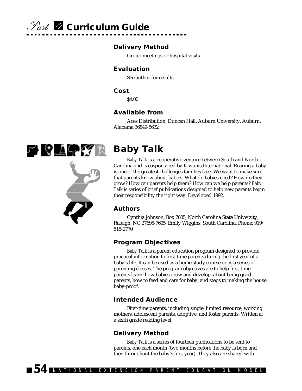

Group meetings or hospital visits

#### **Evaluation**

See author for results.

#### **Cost**

\$4.00

#### **Available from**

Aces Distribution, Duncan Hall, Auburn University, Auburn, Alabama 36849-5632



# **I**

## **Baby Talk**

*Baby Talk* is a cooperative venture between South and North Carolina and is cosponsored by Kiwanis International. Rearing a baby is one of the greatest challenges families face. We want to make sure that parents know about babies. What do babies need? How do they grow? How can parents help them? How can we help parents? *Baby Talk* is series of brief publications designed to help new parents begin their responsibility the right way. Developed 1992.

#### **Authors**

Cynthia Johnson, Box 7605, North Carolina State University, Raleigh, NC 27695-7605; Emily Wiggins, South Carolina. Phone: 919/ 515-2770

#### **Program Objectives**

*Baby Talk* is a parent education program designed to provide practical information to first-time parents during the first year of a baby's life. It can be used as a home study course or as a series of parenting classes. The program objectives are to help first-time parents learn: how babies grow and develop, about being good parents, how to feed and care for baby, and steps to making the house baby-proof.

#### **Intended Audience**

First-time parents, including single, limited resource, working mothers, adolescent parents, adoptive, and foster parents. Written at a sixth grade reading level.

#### **Delivery Method**

*Baby Talk* is a series of fourteen publications to be sent to parents, one each month (two months before the baby is born and then throughout the baby's first year). They also are shared with

#### **54** NATIONAL EXTENSION PARENT EDUCATION MODEL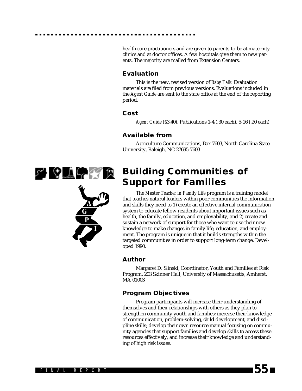health care practitioners and are given to parents-to-be at maternity clinics and at doctor offices. A few hospitals give them to new parents. The majority are mailed from Extension Centers.

#### **Evaluation**

This is the new, revised version of *Baby Talk.* Evaluation materials are filed from previous versions. Evaluations included in the *Agent Guide* are sent to the state office at the end of the reporting period.

#### **Cost**

*Agent Guide* (\$3.40), Publications 1-4 (.30 each), 5-16 (.20 each)

#### **Available from**

Agriculture Communications, Box 7603, North Carolina State University, Raleigh, NC 27695-7603



## **Building Communities of Support for Families**

The *Master Teacher in Family Life* program is a training model that teaches natural leaders within poor communities the information and skills they need to 1) create an effective internal communication system to educate fellow residents about important issues such as health, the family, education, and employability, and 2) create and sustain a network of support for those who want to use their new knowledge to make changes in family life, education, and employment. The program is unique in that it builds strengths within the targeted communities in order to support long-term change. Developed 1990.

#### **Author**

Margaret D. Slinski, Coordinator, Youth and Families at Risk Program, 203 Skinner Hall, University of Massachusetts, Amherst, MA 01003

#### **Program Objectives**

Program participants will increase their understanding of themselves and their relationships with others as they plan to strengthen community youth and families; increase their knowledge of communication, problem-solving, child development, and discipline skills; develop their own resource manual focusing on community agencies that support families and develop skills to access these resources effectively; and increase their knowledge and understanding of high risk issues.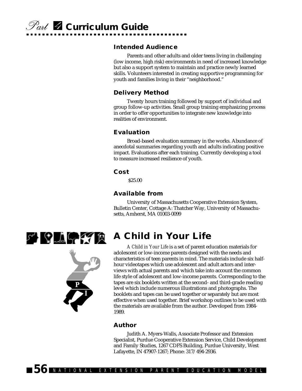

#### **Intended Audience**

Parents and other adults and older teens living in challenging (low income, high risk) environments in need of increased knowledge but also a support system to maintain and practice newly learned skills. Volunteers interested in creating supportive programming for youth and families living in their "neighborhood."

#### **Delivery Method**

Twenty hours training followed by support of individual and group follow-up activities. Small group training emphasizing process in order to offer opportunities to integrate new knowledge into realities of environment.

#### **Evaluation**

Broad-based evaluation summary in the works. Abundance of anecdotal summaries regarding youth and adults indicating positive impact. Evaluations after each training. Currently developing a tool to measure increased resilience of youth.

#### **Cost**

\$25.00

#### **Available from**

University of Massachusetts Cooperative Extension System, Bulletin Center, Cottage A: Thatcher Way, University of Massachusetts, Amherst, MA 01003-0099





## **A Child in Your Life**

*A Child in Your Life* is a set of parent education materials for adolescent or low-income parents designed with the needs and characteristics of teen parents in mind. The materials include six halfhour videotapes which use adolescent and adult actors and interviews with actual parents and which take into account the common life style of adolescent and low-income parents. Corresponding to the tapes are six booklets written at the second- and third-grade reading level which include numerous illustrations and photographs. The booklets and tapes can be used together or separately but are most effective when used together. Brief workshop outlines to be used with the materials are available from the author. Developed from 1984- 1989.

#### **Author**

Judith A. Myers-Walls, Associate Professor and Extension Specialist, Purdue Cooperative Extension Service, Child Development and Family Studies, 1267 CDFS Building, Purdue University, West Lafayette, IN 47907-1267; Phone: 317/494-2936.

#### **56** NATIONAL EXTENSION PARENT EDUCATION MODEL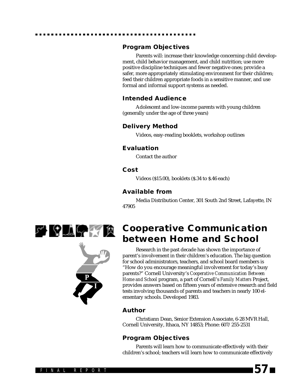#### **Program Objectives**

Parents will: increase their knowledge concerning child development, child behavior management, and child nutrition; use more positive discipline techniques and fewer negative ones; provide a safer, more appropriately stimulating environment for their children; feed their children appropriate foods in a sensitive manner, and use formal and informal support systems as needed.

#### **Intended Audience**

Adolescent and low-income parents with young children (generally under the age of three years)

#### **Delivery Method**

Videos, easy-reading booklets, workshop outlines

#### **Evaluation**

Contact the author

#### **Cost**

Videos (\$15.00), booklets (\$.34 to \$.46 each)

#### **Available from**

Media Distribution Center, 301 South 2nd Street, Lafayette, IN 47905



## **Cooperative Communication between Home and School**

Research in the past decade has shown the importance of parent's involvement in their children's education. The big question for school administrators, teachers, and school board members is "How do you encourage meaningful involvement for today's busy parents?" Cornell University's *Cooperative Communication Between Home and School* program, a part of Cornell's *Family Matters* Project, provides answers based on fifteen years of extensive research and field tests involving thousands of parents and teachers in nearly 100 elementary schools. Developed 1983.

#### **Author**

Christiann Dean, Senior Extension Associate, 6-28 MVR Hall, Cornell University, Ithaca, NY 14853; Phone: 607/255-2531

#### **Program Objectives**

Parents will learn how to communicate effectively with their children's school; teachers will learn how to communicate effectively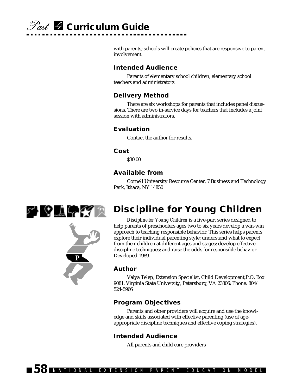

with parents; schools will create policies that are responsive to parent involvement.

#### **Intended Audience**

Parents of elementary school children, elementary school teachers and administrators

#### **Delivery Method**

There are six workshops for parents that includes panel discussions. There are two in-service days for teachers that includes a joint session with administrators.

#### **Evaluation**

Contact the author for results.

#### **Cost**

\$30.00

#### **Available from**

Cornell University Resource Center, 7 Business and Technology Park, Ithaca, NY 14850



## **Discipline for Young Children**

*Discipline for Young Children* is a five-part series designed to help parents of preschoolers ages two to six years develop a win-win approach to teaching responsible behavior. This series helps parents explore their individual parenting style; understand what to expect from their children at different ages and stages; develop effective discipline techniques; and raise the odds for responsible behavior. Developed 1989.

#### **Author**

Valya Telep, Extension Specialist, Child Development,P.O. Box 9081, Virginia State University, Petersburg, VA 23806; Phone: 804/ 524-5966

#### **Program Objectives**

Parents and other providers will acquire and use the knowledge and skills associated with effective parenting (use of ageappropriate discipline techniques and effective coping strategies).

#### **Intended Audience**

All parents and child care providers



**P**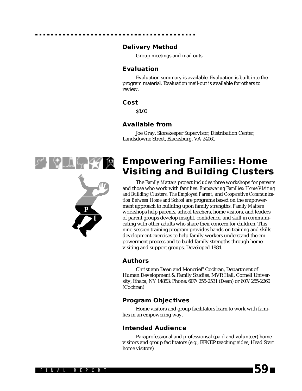Group meetings and mail outs

#### **Evaluation**

Evaluation summary is available. Evaluation is built into the program material. Evaluation mail-out is available for others to review.

#### **Cost**

\$8.00

#### **Available from**

Joe Gray, Storekeeper Supervisor, Distribution Center, Landsdowne Street, Blacksburg, VA 24061



## **Empowering Families: Home Visiting and Building Clusters**

The *Family Matters* project includes three workshops for parents and those who work with families. *Empowering Families: Home Visiting and Building Clusters, The Employed Parent,* and *Cooperative Communication Between Home and School* are programs based on the empowerment approach to building upon family strengths. *Family Matters* workshops help parents, school teachers, home visitors, and leaders of parent groups develop insight, confidence, and skill in communicating with other adults who share their concern for children. This nine-session training program provides hands-on training and skillsdevelopment exercises to help family workers understand the empowerment process and to build family strengths through home visiting and support groups. Developed 1984.

#### **Authors**

Christiann Dean and Moncrieff Cochran, Department of Human Development & Family Studies, MVR Hall, Cornell University, Ithaca, NY 14853; Phone: 607/255-2531 (Dean) or 607/255-2260 (Cochran)

#### **Program Objectives**

Home visitors and group facilitators learn to work with families in an empowering way.

#### **Intended Audience**

Paraprofessional and professionsal (paid and volunteer) home visitors and group facilitators (e.g., EFNEP teaching aides, Head Start home visitors)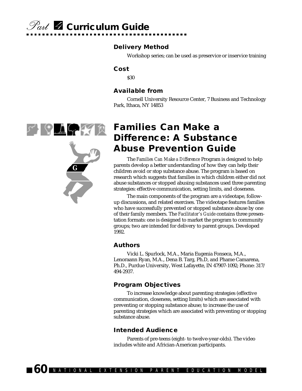

Workshop series; can be used as preservice or inservice training

#### **Cost**

\$30

#### **Available from**

Cornell University Resource Center, 7 Business and Technology Park, Ithaca, NY 14853



## **Families Can Make a Difference: A Substance Abuse Prevention Guide**

The *Families Can Make a Difference* Program is designed to help parents develop a better understanding of how they can help their children avoid or stop substance abuse. The program is based on research which suggests that families in which children either did not abuse substances or stopped abusing substances used three parenting strategies: effective communication, setting limits, and closeness.

The main components of the program are a videotape, followup discussions, and related exercises. The videotape features families who have successfully prevented or stopped substance abuse by one of their family members. The *Facilitator's Guide* contains three presentation formats: one is designed to market the program to community groups; two are intended for delivery to parent groups. Developed 1992.

#### **Authors**

Vicki L. Spurlock, M.A., Maria Eugenia Fonseca, M.A., Lenoraann Ryan, M.A., Dena B. Targ, Ph.D, and Phame Camarena, Ph.D., Purdue University, West Lafayette, IN 47907-1092; Phone: 317/ 494-2937.

#### **Program Objectives**

To increase knowledge about parenting strategies (effective communication, closeness, setting limits) which are associated with preventing or stopping substance abuse; to increase the use of parenting strategies which are associated with preventing or stopping substance abuse.

#### **Intended Audience**

**60** NATIONAL EXTENSION PARENT EDUCATION MODEL

Parents of pre-teens (eight- to twelve-year-olds). The video includes white and Africian-American participants.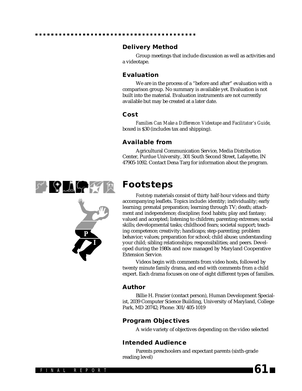Group meetings that include discussion as well as activities and a videotape.

#### **Evaluation**

We are in the process of a "before and after" evaluation with a comparison group. No summary is available yet. Evaluation is not built into the material. Evaluation instruments are not currently available but may be created at a later date.

#### **Cost**

*Families Can Make a Difference: Videotape* and *Facilitator's Guide,* boxed is \$30 (includes tax and shipping).

#### **Available from**

Agricultural Communication Service, Media Distribution Center, Purdue University, 301 South Second Street, Lafayette, IN 47905-1092. Contact Dena Targ for information about the program.





#### **Footsteps**

*Footstep* materials consist of thirty half-hour videos and thirty accompanying leaflets. Topics include: identity; individuality; early learning; prenatal preparation; learning through TV; death; attachment and independence; discipline; food habits; play and fantasy; valued and accepted; listening to children; parenting extremes; social skills; developmental tasks; childhood fears; societal support; teaching competence; creativity; handicaps; step-parenting; problem behavior; values; preparation for school; child abuse; understanding your child; sibling relationships; responsibilities; and peers. Developed during the 1980s and now managed by Maryland Cooperative Extension Service.

Videos begin with comments from video hosts, followed by twenty minute family drama, and end with comments from a child expert. Each drama focuses on one of eight different types of families.

#### **Author**

Billie H. Frazier (contact person), Human Development Specialist, 2039 Computer Science Building, University of Maryland, College Park, MD 20742; Phone: 301/405-1019

#### **Program Objectives**

A wide variety of objectives depending on the video selected

#### **Intended Audience**

Parents preschoolers and expectant parents (sixth-grade reading level)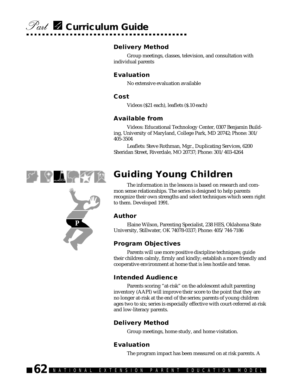

Group meetings, classes, television, and consultation with individual parents

#### **Evaluation**

No extensive evaluation available

#### **Cost**

Videos (\$21 each), leaflets (\$.10 each)

#### **Available from**

Videos: Educational Technology Center, 0307 Benjamin Building, University of Maryland, College Park, MD 20742; Phone: 301/ 405-3504

Leaflets: Steve Rothman, Mgr., Duplicating Services, 6200 Sheridan Street, Riverdale, MO 20737; Phone: 301/403-4264



## **Guiding Young Children**

The information in the lessons is based on research and common sense relationships. The series is designed to help parents recognize their own strengths and select techniques which seem right to them. Developed 1991.

#### **Author**

Elaine Wilson, Parenting Specialist, 238 HES, Oklahoma State University, Stillwater, OK 74078-0337; Phone: 405/744-7186

#### **Program Objectives**

Parents will use more positive discipline techniques; guide their children calmly, firmly and kindly; establish a more friendly and cooperative environment at home that is less hostile and tense.

#### **Intended Audience**

Parents scoring "at-risk" on the adolescent adult parenting inventory (AAPI) will improve their score to the point that they are no longer at-risk at the end of the series; parents of young children ages two to six; series is especially effective with court-referred at-risk and low-literacy parents.

#### **Delivery Method**

**62** NATIONAL EXTENSION PARENT EDUCATION MODEL

Group meetings, home study, and home visitation.

#### **Evaluation**

The program impact has been measured on at risk parents. A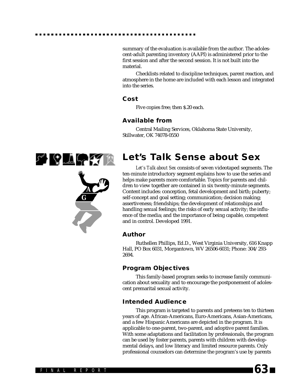summary of the evaluation is available from the author. The adolescent-adult parenting inventory (AAPI) is administered prior to the first session and after the second session. It is not built into the material.

Checklists related to discipline techniques, parent reaction, and atmosphere in the home are included with each lesson and integrated into the series.

#### **Cost**

Five copies free; then \$.20 each.

#### **Available from**

Central Mailing Services, Oklahoma State University, Stillwater, OK 74078-0550



## **Let's Talk Sense about Sex**

*Let's Talk about Sex* consists of seven videotaped segments. The ten-minute introductory segment explains how to use the series and helps make parents more comfortable. Topics for parents and children to view together are contained in six twenty-minute segments. Content includes: conception, fetal development and birth; puberty; self-concept and goal setting; communication; decision making; assertiveness; friendships; the development of relationships and handling sexual feelings; the risks of early sexual activity; the influence of the media; and the importance of being capable, competent and in control. Developed 1991.

#### **Author**

Ruthellen Phillips, Ed.D., West Virginia University, 616 Knapp Hall, PO Box 6031, Morgantown, WV 26506-6031; Phone: 304/293- 2694.

#### **Program Objectives**

This family-based program seeks to increase family communication about sexuality and to encourage the postponement of adolescent premarital sexual activity.

#### **Intended Audience**

This program is targeted to parents and preteens ten to thirteen years of age. African-Americans, Euro-Americans, Asian-Americans, and a few Hispanic Americans are depicted in the program. It is applicable to one-parent, two-parent, and adoptive parent families. With some adaptations and facilitation by professionals, the program can be used by foster parents, parents with children with developmental delays, and low literacy and limited resource parents. Only professional counselors can determine the program's use by parents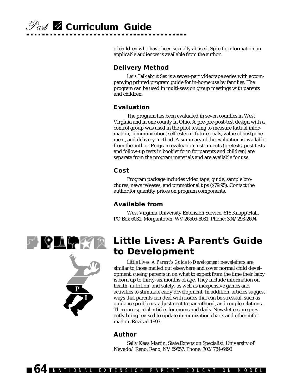Part 4 **Curriculum Guide**

of children who have been sexually abused. Specific information on applicable audiences is available from the author.

#### **Delivery Method**

*Let's Talk about Sex* is a seven-part videotape series with accompanying printed program guide for in-home use by families. The program can be used in multi-session group meetings with parents and children.

#### **Evaluation**

The program has been evaluated in seven counties in West Virginia and in one county in Ohio. A pre-pre-post-test design with a control group was used in the pilot testing to measure factual information, communication, self-esteem, future goals, value of postponement, and delivery method. A summary of the evaluation is available from the author. Program evaluation instruments (pretests, post-tests and follow-up tests in booklet form for parents and children) are separate from the program materials and are available for use.

#### **Cost**

Program package includes video tape, guide, sample brochures, news releases, and promotional tips (\$79.95). Contact the author for quantity prices on program components.

#### **Available from**

West Virginia University Extension Service, 616 Knapp Hall, PO Box 6031, Morgantown, WV 26506-6031; Phone: 304/293-2694



## **Little Lives: A Parent's Guide to Development**

Little Lives: A Parent's Guide to Development newsletters are similar to those mailed out elsewhere and cover normal child development, cueing parents in on what to expect from the time their baby is born up to thirty-six months of age. They include information on health, nutrition, and safety, as well as inexpensive games and activities to stimulate early development. In addition, articles suggest ways that parents can deal with issues that can be stressful, such as guidance problems, adjustment to parenthood, and couple relations. There are special articles for moms and dads. Newsletters are presently being revised to update immunization charts and other information. Revised 1993.

#### **Author**

Sally Kees Martin, State Extension Specialist, University of Nevado/ Reno, Reno, NV 89557; Phone: 702/784-6490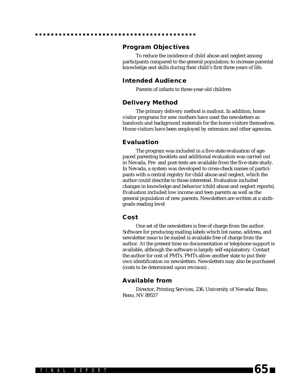#### **Program Objectives**

To reduce the incidence of child abuse and neglect among participants compared to the general population; to increase parental knowledge and skills during their child's first three years of life.

#### **Intended Audience**

Parents of infants to three-year-old children

#### **Delivery Method**

The primary delivery method is mailout. In addition, home visitor programs for new mothers have used the newsletters as handouts and background materials for the home visitors themselves. Home visitors have been employed by extension and other agencies.

#### **Evaluation**

The program was included in a five-state evaluation of agepaced parenting booklets and additional evaluation was carried out in Nevada. Pre- and post-tests are available from the five-state study. In Nevada, a system was developed to cross-check names of participants with a central registry for child abuse and neglect, which the author could describe to those interested. Evaluation included changes in knowledge and behavior (child abuse and neglect reports). Evaluation included low income and teen parents as well as the general population of new parents. Newsletters are written at a sixthgrade reading level

#### **Cost**

One set of the newsletters is free of charge from the author. Software for producing mailing labels which list name, address, and newsletter issue to be mailed is available free of charge from the author. At the present time no documentation or telephone support is available, although the software is largely self-explanatory. Contact the author for cost of PMTs. PMTs allow another state to put their own identification on newsletters. Newsletters may also be purchased (costs to be determined upon revision) .

#### **Available from**

Director, Printing Services, 236, University of Nevada/Reno, Reno, NV 89557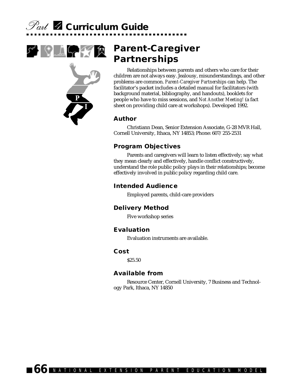# Part 4 **Curriculum Guide**



## **Parent-Caregiver Partnerships**

Relationships between parents and others who care for their children are not always easy. Jealousy, misunderstandings, and other problems are common. *Parent-Caregiver Partnerships* can help. The facilitator's packet includes a detailed manual for facilitators (with background material, bibliography, and handouts), booklets for people who have to miss sessions, and *Not Another Meeting!* (a fact sheet on providing child care at workshops). Developed 1992.

#### **Author**

Christiann Dean, Senior Extension Associate, G-28 MVR Hall, Cornell University, Ithaca, NY 14853; Phone: 607/255-2531

#### **Program Objectives**

Parents and caregivers will learn to listen effectively; say what they mean clearly and effectively, handle conflict constructively, understand the role public policy plays in their relationships; become effectively involved in public policy regarding child care.

#### **Intended Audience**

Employed parents, child-care providers

#### **Delivery Method**

Five workshop series

#### **Evaluation**

Evaluation instruments are available.

#### **Cost**

\$25.50

#### **Available from**

Resource Center, Cornell University, 7 Business and Technology Park, Ithaca, NY 14850

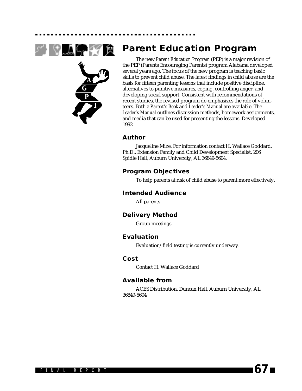



## **Parent Education Program**

The new *Parent Education Program* (PEP) is a major revision of the PEP (Parents Encouraging Parents) program Alabama developed several years ago. The focus of the new program is teaching basic skills to prevent child abuse. The latest findings in child abuse are the basis for fifteen parenting lessons that include positive discipline, alternatives to punitive measures, coping, controlling anger, and developing social support. Consistent with recommendations of recent studies, the revised program de-emphasizes the role of volunteers. Both a *Parent's Book* and *Leader's Manual* are available. The *Leader's Manual* outlines discussion methods, homework assignments, and media that can be used for presenting the lessons. Developed 1992.

#### **Author**

Jacqueline Mize. For information contact H. Wallace Goddard, Ph.D., Extension Family and Child Development Specialist, 206 Spidle Hall, Auburn University, AL 36849-5604.

#### **Program Objectives**

To help parents at risk of child abuse to parent more effectively.

#### **Intended Audience**

All parents

#### **Delivery Method**

Group meetings

#### **Evaluation**

Evaluation/field testing is currently underway.

#### **Cost**

Contact H. Wallace Goddard

#### **Available from**

ACES Distribution, Duncan Hall, Auburn University, AL 36849-5604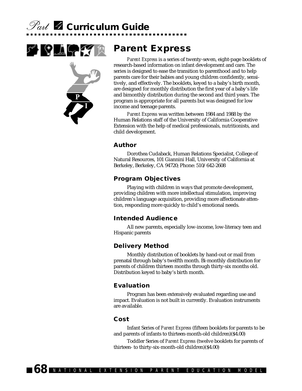## Part 4 **Curriculum Guide**





## **Parent Express**

*Parent Express* is a series of twenty-seven, eight-page booklets of research-based information on infant development and care. The series is designed to ease the transition to parenthood and to help parents care for their babies and young children confidently, sensitively, and effectively. The booklets, keyed to a baby's birth month, are designed for monthly distribution the first year of a baby's life and bimonthly distribution during the second and third years. The program is appropriate for all parents but was designed for low income and teenage parents.

*Parent Express* was written between 1984 and 1988 by the Human Relations staff of the University of California Cooperative Extension with the help of medical professionals, nutritionists, and child development.

#### **Author**

Dorothea Cudaback, Human Relations Specialist, College of Natural Resources, 101 Giannini Hall, University of California at Berkeley, Berkeley, CA 94720; Phone: 510/642-2608

#### **Program Objectives**

Playing with children in ways that promote development, providing children with more intellectual stimulation, improving children's language acquisition, providing more affectionate attention, responding more quickly to child's emotional needs.

#### **Intended Audience**

All new parents, especially low-income, low-literacy teen and Hispanic parents

#### **Delivery Method**

Monthly distribution of booklets by hand-out or mail from prenatal through baby's twelfth month. Bi-monthly distribution for parents of children thirteen months through thirty-six months old. Distribution keyed to baby's birth month.

#### **Evaluation**

Program has been extensively evaluated regarding use and impact. Evaluation is not built in currently. Evaluation instruments are available.

#### **Cost**

Infant Series of *Parent Express* (fifteen booklets for parents to be and parents of infants to thirteen-month-old children)(\$4.00)

Toddler Series of *Parent Express* (twelve booklets for parents of thirteen- to thirty-six-month-old children)(\$4.00)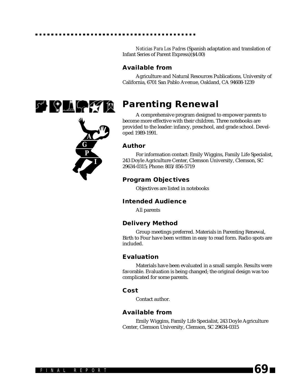*Noticias Para Los Padres* (Spanish adaptation and translation of Infant Series of Parent Express)(\$4.00)

#### **Available from**

Agriculture and Natural Resources Publications, University of California, 6701 San Pablo Avenue, Oakland, CA 94608-1239



## **Parenting Renewal**

A comprehensive program designed to empower parents to become more effective with their children. Three notebooks are provided to the leader: infancy, preschool, and grade school. Developed 1989-1991.

#### **Author**

For information contact: Emily Wiggins, Family Life Specialist, 243 Doyle Agriculture Center, Clemson University, Clemson, SC 29634-0315; Phone: 803/856-5719

#### **Program Objectives**

Objectives are listed in notebooks

#### **Intended Audience**

All parents

#### **Delivery Method**

Group meetings preferred. Materials in Parenting Renewal, Birth to Four have been written in easy to read form. Radio spots are included.

#### **Evaluation**

Materials have been evaluated in a small sample. Results were favorable. Evaluation is being changed; the original design was too complicated for some parents.

#### **Cost**

Contact author.

#### **Available from**

Emily Wiggins, Family Life Specialist, 243 Doyle Agriculture Center, Clemson University, Clemson, SC 29634-0315

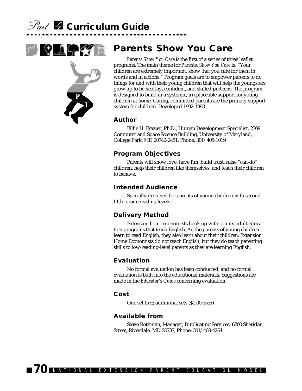## Part 4 **Curriculum Guide**



## **Parents Show You Care**

*Parents Show You Care* is the first of a series of three leaflet programs. The main theme for *Parents: Show You Care* is, "Your children are extremely important; show that you care for them in words and in actions." Program goals are to empower parents to do things for and with their young children that will help the youngsters grow up to be healthy, confident, and skilled preteens. The program is designed to build in a systemic, irreplaceable support for young children at home. Caring, committed parents are the primary support system for children. Developed 1992-1993.

#### **Author**

Billie H. Frazier, Ph.D., Human Development Specialist, 2309 Computer and Space Science Building, University of Maryland, College Park, MD 20742-2451; Phone: 301/405-1019

#### **Program Objectives**

Parents will show love, have fun, build trust, raise "can-do" children, help their children like themselves, and teach their children to behave.

#### **Intended Audience**

Specially designed for parents of young children with secondfifth- grade reading levels.

#### **Delivery Method**

Extension home economists hook up with county adult education programs that teach English. As the parents of young children learn to read English, they also learn about their children. Extension Home Economists do not teach English, but they do teach parenting skills to low-reading-level parents as they are learning English.

#### **Evaluation**

No formal evaluation has been conducted, and no formal evaluation is built into the educational materials. Suggestions are made in the *Educator's Guide* concerning evaluation.

#### **Cost**

One set free; additional sets (\$1.00 each)

#### **Available from**

Steve Rothman, Manager, Duplicating Services, 6200 Sheridan Street, Riverdale, MD 20737; Phone: 301/403-4264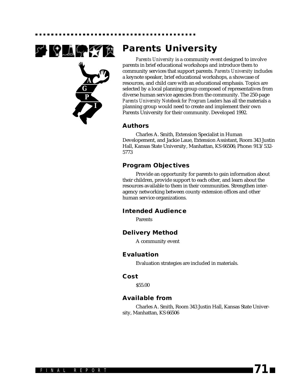**SRIPAR** 



## **Parents University**

*Parents University* is a community event designed to involve parents in brief educational workshops and introduce them to community services that support parents. *Parents University* includes a keynote speaker, brief educational workshops, a showcase of resources, and child care with an educational emphasis. Topics are selected by a local planning group composed of representatives from diverse human service agencies from the community. The 250-page *Parents University Notebook for Program Leaders* has all the materials a planning group would need to create and implement their own Parents University for their community. Developed 1992.

#### **Authors**

Charles A. Smith, Extension Specialist in Human Developement, and Jackie Laue, Extension Assistant, Room 343 Justin Hall, Kansas State University, Manhattan, KS 66506; Phone: 913/532- 5773

#### **Program Objectives**

Provide an opportunity for parents to gain information about their children, provide support to each other, and learn about the resources available to them in their communities. Strengthen interagency networking between county extension offices and other human service organizations.

#### **Intended Audience**

Parents

#### **Delivery Method**

A community event

#### **Evaluation**

Evaluation strategies are included in materials.

#### **Cost**

\$55.00

#### **Available from**

Charles A. Smith, Room 343 Justin Hall, Kansas State University, Manhattan, KS 66506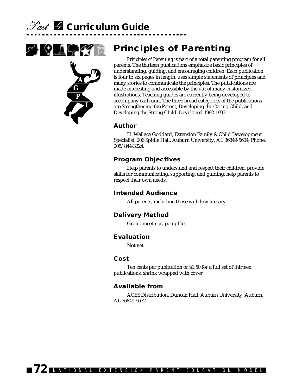## Part 4 **Curriculum Guide**





## **Principles of Parenting**

*Principles of Parenting* is part of a total parenting program for all parents. The thirteen publications emphasize basic principles of understanding, guiding, and encouraging children. Each publication is four to six pages in length, uses simple statements of principles and many stories to communicate the principles. The publications are made interesting and accessible by the use of many customized illustrations. Teaching guides are currently being developed to accompany each unit. The three broad categories of the publications are Strengthening the Parent, Developing the Caring Child, and Developing the Strong Child. Developed 1992-1993.

#### **Author**

H. Wallace Goddard, Extension Family & Child Development Specialist, 206 Spidle Hall, Auburn University, AL 36849-5604; Phone: 205/844-3224.

#### **Program Objectives**

Help parents to understand and respect their children; provide skills for communicating, supporting, and guiding; help parents to respect their own needs.

#### **Intended Audience**

All parents, including those with low literacy

#### **Delivery Method**

Group meetings, pamphlet.

#### **Evaluation**

Not yet.

#### **Cost**

Ten cents per publication or \$1.50 for a full set of thirteen publications; shrink wrapped with cover

#### **Available from**

ACES Distribution, Duncan Hall, Auburn University, Auburn, AL 36849-5632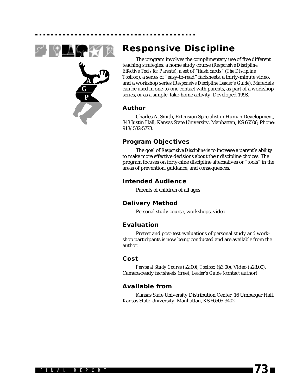



## **Responsive Discipline**

The program involves the complimentary use of five different teaching strategies: a home study course (*Responsive Discipline: Effective Tools for Parents*), a set of "flash cards" (*The Discipline Toolbox*), a series of "easy-to-read" factsheets, a thirty-minute video, and a workshop series (*Responsive Discipline Leader's Guide*). Materials can be used in one-to-one contact with parents, as part of a workshop series, or as a simple, take-home activity. Developed 1993.

#### **Author**

Charles A. Smith, Extension Specialist in Human Development, 343 Justin Hall, Kansas State University, Manhattan, KS 66506; Phone: 913/532-5773.

### **Program Objectives**

The goal of *Responsive Discipline* is to increase a parent's ability to make more effective decisions about their discipline choices. The program focuses on forty-nine discipline alternatives or "tools" in the areas of prevention, guidance, and consequences.

### **Intended Audience**

Parents of children of all ages

### **Delivery Method**

Personal study course, workshops, video

### **Evaluation**

Pretest and post-test evaluations of personal study and workshop participants is now being conducted and are available from the author.

#### **Cost**

*Personal Study Course* (\$2.00), *Toolbox* (\$3.00), Video (\$28.00), Camera-ready factsheets (free), *Leader's Guide* (contact author)

### **Available from**

Kansas State University Distribution Center, 16 Umberger Hall, Kansas State University, Manhattan, KS 66506-3402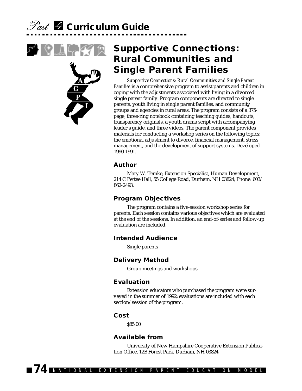# Part 4 **Curriculum Guide**



# **Supportive Connections: Rural Communities and Single Parent Families**

*Supportive Connections: Rural Communities and Single Parent Families* is a comprehensive program to assist parents and children in coping with the adjustments associated with living in a divorced single parent family. Program components are directed to single parents, youth living in single parent families, and community groups and agencies in rural areas. The program consists of a 375 page, three-ring notebook containing teaching guides, handouts, transparency originals, a youth drama script with accompanying leader's guide, and three videos. The parent component provides materials for conducting a workshop series on the following topics: the emotional adjustment to divorce, financial management, stress management, and the development of support systems. Developed 1990-1991.

#### **Author**

Mary W. Temke, Extension Specialist, Human Development, 214 C Pettee Hall, 55 College Road, Durham, NH 03824; Phone: 603/ 862-2493.

### **Program Objectives**

The program contains a five-session workshop series for parents. Each session contains various objectives which are evaluated at the end of the sessions. In addition, an end-of-series and follow-up evaluation are included.

### **Intended Audience**

Single parents

### **Delivery Method**

Group meetings and workshops

#### **Evaluation**

Extension educators who purchased the program were surveyed in the summer of 1992; evaluations are included with each section/session of the program.

#### **Cost**

\$85.00

### **Available from**

University of New Hampshire Cooperative Extension Publication Office, 12B Forest Park, Durham, NH 03824

**74** NATIONAL EXTENSION PARENT EDUCATION MODEL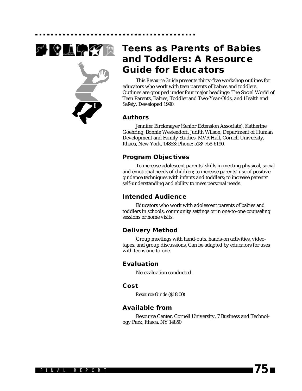

# **Teens as Parents of Babies and Toddlers: A Resource Guide for Educators**

This *Resource Guide* presents thirty-five workshop outlines for educators who work with teen parents of babies and toddlers. Outlines are grouped under four major headings: The Social World of Teen Parents, Babies, Toddler and Two-Year-Olds, and Health and Safety. Developed 1990.

#### **Authors**

Jennifer Birckmayer (Senior Extension Associate), Katherine Goehring, Bonnie Westendorf, Judith Wilson, Department of Human Development and Family Studies, MVR Hall, Cornell University, Ithaca, New York, 14853; Phone: 518/758-6190.

### **Program Objectives**

To increase adolescent parents' skills in meeting physical, social and emotional needs of children; to increase parents' use of positive guidance techniques with infants and toddlers; to increase parents' self-understanding and ability to meet personal needs.

#### **Intended Audience**

Educators who work with adolescent parents of babies and toddlers in schools, community settings or in one-to-one counseling sessions or home visits.

### **Delivery Method**

Group meetings with hand-outs, hands-on activities, videotapes, and group discussions. Can be adapted by educators for uses with teens one-to-one.

#### **Evaluation**

No evaluation conducted.

#### **Cost**

*Resource Guide* (\$18.00)

#### **Available from**

Resource Center, Cornell University, 7 Business and Technology Park, Ithaca, NY 14850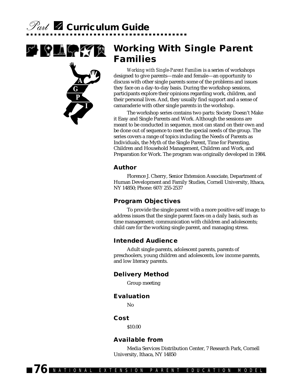# Part 4 **Curriculum Guide**





# **Working With Single Parent Families**

*Working with Single-Parent Families* is a series of workshops designed to give parents—male and female—an opportunity to discuss with other single parents some of the problems and issues they face on a day-to-day basis. During the workshop sessions, participants explore their opinions regarding work, children, and their personal lives. And, they usually find support and a sense of camaraderie with other single parents in the workshop.

The workshop series contains two parts: Society Doesn't Make it Easy and Single Parents and Work. Although the sessions are meant to be conducted in sequence, most can stand on their own and be done out of sequence to meet the special needs of the group. The series covers a range of topics including the Needs of Parents as Individuals, the Myth of the Single Parent, Time for Parenting, Children and Household Management, Children and Work, and Preparation for Work. The program was originally developed in 1984.

#### **Author**

Florence J. Cherry, Senior Extension Associate, Department of Human Development and Family Studies, Cornell University, Ithaca, NY 14850; Phone: 607/255-2537

### **Program Objectives**

To provide the single parent with a more positive self image; to address issues that the single parent faces on a daily basis, such as time management; communication with children and adolescents; child care for the working single parent, and managing stress.

### **Intended Audience**

Adult single parents, adolescent parents, parents of preschoolers, young children and adolescents, low income parents, and low literacy parents.

### **Delivery Method**

Group meeting

#### **Evaluation**

No

#### **Cost**

\$10.00

### **Available from**

Media Services Distribution Center, 7 Research Park, Cornell University, Ithaca, NY 14850

**76** NATIONAL EXTENSION PARENT EDUCATION MODEL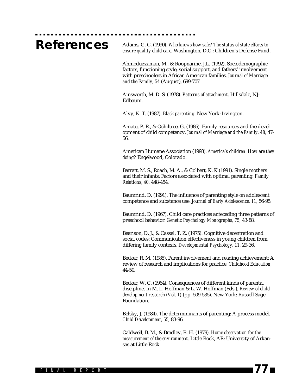**References** Adams, G. C. (1990). *Who knows how safe? The status of state efforts to ensure quality child care.* Washington, D.C.: Children's Defense Fund.

> Ahmeduzzaman, M., & Roopnarine, J.L. (1992). Sociodemographic factors, functioning style, social support, and fathers' involvement with preschoolers in African American families. *Journal of Marriage and the Family, 54* (August), 699-707.

Ainsworth, M. D. S. (1978). *Patterns of attachment.* Hillsdale, NJ: Erlbaum.

Alvy, K. T. (1987). *Black parenting.* New York: Irvington.

Amato, P. R., & Ochiltree, G. (1986). Family resources and the development of child competency. *Journal of Marriage and the Family, 48,* 47- 56.

American Humane Association (1993). *America's children: How are they doing?* Engelwood, Colorado.

Barratt, M. S., Roach, M. A., & Colbert, K. K (1991). Single mothers and their infants: Factors associated with optimal parenting. *Family Relations, 40,* 448-454.

Baumrind, D. (1991). The influence of parenting style on adolescent competence and substance use. *Journal of Early Adolescence, 11,* 56-95.

Baumrind, D. (1967). Child care practices anteceding three patterns of preschool behavior. *Genetic Psychology Monographs, 75,* 43-88.

Bearison, D. J., & Cassel, T. Z. (1975). Cognitive decentration and social codes: Communication effectiveness in young children from differing family contexts. *Developmental Psychology, 11,* 29-36.

Becker, R. M. (1985). Parent involvement and reading achievement: A review of research and implications for practice. *Childhood Education,* 44-50.

Becker, W. C. (1964). Consequences of different kinds of parental discipline. In M. L. Hoffman & L. W. Hoffman (Eds.), *Review of child development research (Vol. 1)* (pp. 509-535)*.* New York: Russell Sage Foundation.

Belsky, J. (1984). The determininants of parenting: A process model. *Child Development, 55,* 83-96.

Caldwell, B. M., & Bradley, R. H. (1979). *Home observation for the measurement of the environment.* Little Rock, AR: University of Arkansas at Little Rock.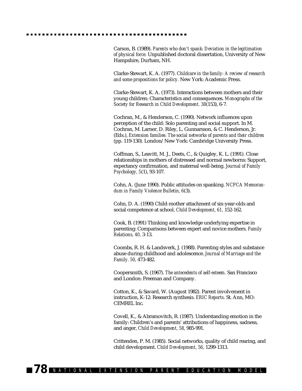Carson, B. (1989). *Parents who don't spank: Deviation in the legitimation of physical force.* Unpublished doctoral dissertation, University of New Hampshire, Durham, NH.

Clarke-Stewart, K. A. (1977). *Childcare in the family: A review of research and some propositions for policy.* New York: Academic Press.

Clarke-Stewart, K. A. (1973). Interactions between mothers and their young children: Characteristics and consequences. *Monographs of the Society for Research in Child Development. 38*(153), 6-7.

Cochran, M., & Henderson, C. (1990). Network influences upon perception of the child: Solo parenting and social support. In M. Cochran, M. Larner, D. Riley, L. Gunnarsson, & C. Henderson, Jr. (Eds.), *Extension families: The social networks of parents and their children* (pp. 119-130). London/New York: Cambridge University Press.

Coffman, S., Leavitt, M. J., Deets, C., & Quigley, K. L. (1991). Close relationships in mothers of distressed and normal newborns: Support, expectancy confirmation, and maternal well-being. *Journal of Family Psychology, 5*(1), 93-107.

Cohn, A. (June 1990). Public attitudes on spanking. *NCPCA Memorandum in Family Violence Bulletin, 6*(3).

Cohn, D. A. (1990) Child-mother attachment of six-year-olds and social competence at school. *Child Development, 61,* 152-162.

Cook, B. (1991) Thinking and knowledge underlying expertise in parenting: Comparisons between expert and novice mothers. *Family Relations, 40,* 3-13.

Coombs, R. H. & Landsverk, J. (1988). Parenting styles and substance abuse during childhood and adolescence. *Journal of Marriage and the Family. 50,* 473-482.

Coopersmith, S. (1967). *The antecedents of aelf-esteem.* San Francisco and London: Freeman and Company.

Cotton, K., & Savard, W. (August 1982). Parent involvement in instruction, K-12: Research synthesis. *ERIC Reports*. St. Ann, MO: CEMREL Inc.

Covell, K., & Abramovitch, R. (1987). Understanding emotion in the family: Children's and parents' attributions of happiness, sadness, and anger, *Child Development, 58,* 985-991.

Crittenden, P. M. (1985). Social networks, quality of child rearing, and child development. *Child Development, 56,* 1299-1313.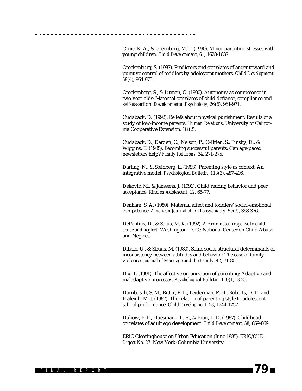Crnic, K. A., & Greenberg, M. T. (1990). Minor parenting stresses with young children. *Child Development, 61,* 1628-1637.

Crockenburg, S. (1987). Predictors and correlates of anger toward and punitive control of toddlers by adolescent mothers. *Child Development, 58*(4), 964-975.

Crockenberg, S., & Litman, C. (1990). Autonomy as competence in two-year-olds: Maternal correlates of child defiance, compliance and self-assertion. *Developmental Psychology, 26*(6), 961-971.

Cudaback, D. (1992). Beliefs about physical punishment: Results of a study of low-income parents. *Human Relations.* University of California Cooperative Extension. 18 (2).

Cudaback, D., Darden, C., Nelson, P., O-Brien, S., Pinsky, D., & Wiggins, E. (1985). Becoming successful parents: Can age-paced newsletters help? *Family Relations, 34,* 271-275.

Darling, N., & Steinberg, L. (1993). Parenting style as context: An integrative model. *Psychological Bulletin, 113*(3), 487-496.

Dekovic, M., & Janssens, J. (1991). Child rearing behavior and peer acceptance. *Kind en Adolescent, 12,* 65-77.

Denham, S. A. (1989). Maternal affect and toddlers' social-emotional competence. *American Journal of Orthopsychiatry, 59*(3), 368-376.

DePanfilis, D., & Salus, M. K. (1992). *A coordinated response to child abuse and neglect.* Washington, D. C.: National Center on Child Abuse and Neglect.

Dibble, U., & Straus, M. (1980). Some social structural determinants of inconsistency between attitudes and behavior: The case of family violence. *Journal of Marriage and the Family, 42,* 71-80.

Dix, T. (1991). The affective organization of parenting: Adaptive and maladaptive processes. *Psychological Bulletin, 110*(1), 3-25.

Dornbusch, S. M., Ritter, P. L., Leiderman, P. H., Roberts, D. F., and Fraleigh, M. J. (1987). The relation of parenting style to adolescent school performance. *Child Development, 58,* 1244-1257.

Dubow, E. F., Huesmann, L. R., & Eron, L. D. (1987). Childhood correlates of adult ego development. *Child Development, 58,* 859-869.

ERIC Clearinghouse on Urban Education (June 1985). *ERIC/CUE Digest No. 27.* New York: Columbia University.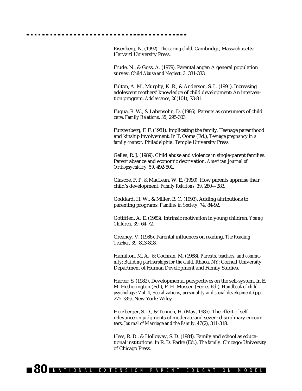Eisenberg, N. (1992). *The caring child.* Cambridge, Massachusetts: Harvard University Press.

Frude, N., & Goss, A. (1979). Parental anger: A general population survey. *Child Abuse and Neglect, 3,* 331-333.

Fulton, A. M., Murphy, K. R., & Anderson, S. L. (1991). Increasing adolescent mothers' knowledge of child development: An intervention program. *Adolescence, 26*(101), 73-81.

Fuqua, R. W., & Labensohn, D. (1986). Parents as consumers of child care. *Family Relations, 35,* 295-303.

Furstenberg, F. F. (1981). Implicating the family: Teenage parenthood and kinship involvement. In T. Ooms (Ed.), *Teenage pregnancy in a family context.* Philadelphia: Temple University Press.

Gelles, R. J. (1989). Child abuse and violence in single-parent families: Parent absence and economic deprivation. *American Journal of Orthopsychiatry, 59,* 492-501.

Glascoe, F. P. & MacLean, W. E. (1990). How parents appraise their child's development. *Family Relations, 39,* 280—283.

Goddard, H. W., & Miller, B. C. (1993). Adding attributions to parenting programs. *Families in Society, 74,* 84-92.

Gottfried, A. E. (1983). Intrinsic motivation in young children. *Young Children, 39,* 64-72.

Greaney, V. (1986). Parental influences on reading. *The Reading Teacher, 39,* 813-818.

Hamilton, M. A., & Cochran, M. (1988). *Parents, teachers, and community: Building partnerships for the child.* Ithaca, NY: Cornell University Department of Human Development and Family Studies.

Harter, S. (1982). Developmental perspectives on the self-system. In E. M. Hetherington (Ed.), P. H. Mussen (Series Ed.), *Handbook of child psychology; Vol. 4, Socializations, personality and social development* (pp. 275-385). New York: Wiley.

Herzberger, S. D., & Tennen, H. (May, 1985). The effect of selfrelevance on judgments of moderate and severe disciplinary encounters. *Journal of Marriage and the Family, 47*(2), 311-318.

Hess, R. D., & Holloway, S. D. (1984). Family and school as educational institutions. In R. D. Parke (Ed.), *The family.* Chicago: University of Chicago Press.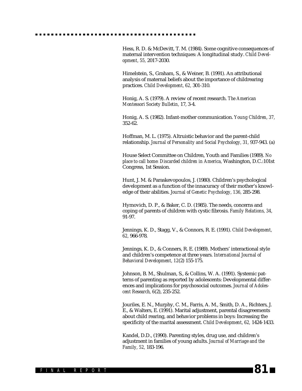Hess, R. D. & McDevitt, T. M. (1984). Some cognitive consequences of maternal intervention techniques: A longitudinal study. *Child Development, 55,* 2017-2030.

Himelstein, S., Graham, S., & Weiner, B. (1991). An attributional analysis of maternal beliefs about the importance of childrearing practices. *Child Development, 62,* 301-310.

Honig, A. S. (1979). A review of recent research. *The American Montessori Society Bulletin,* 17, 3-4.

Honig, A. S. (1982). Infant-mother communication. *Young Children, 37,* 352-62.

Hoffman, M. L. (1975). Altruistic behavior and the parent-child relationship. *Journal of Personality and Social Psychology, 31,* 937-943. (a)

House Select Committee on Children, Youth and Families (1989). *No place to call home: Discarded children in America,* Washington, D.C.:101st Congress, 1st Session.

Hunt, J. M. & Paraskevopoulos, J. (1980). Children's psychological development as a function of the innacuracy of their mother's knowledge of their abilities. *Journal of Genetic Psychology, 136,* 285-298.

Hymovich, D. P., & Baker, C. D. (1985). The needs, concerns and coping of parents of children with cystic fibrosis. *Family Relations, 34,* 91-97.

Jennings, K. D., Stagg, V., & Connors, R. E. (1991). *Child Development, 62,* 966-978.

Jennings, K. D., & Conners, R. E. (1989). Mothers' interactional style and children's competence at three years. *International Journal of Behavioral Development, 12*(2) 155-175.

Johnson, B. M., Shulman, S., & Collins, W. A. (1991). Systemic patterns of parenting as reported by adolescents: Developmental differences and implications for psychosocial outcomes. *Journal of Adolescent Research, 6*(2), 235-252.

Jouriles, E. N., Murphy, C. M., Farris, A. M., Smith, D. A., Richters, J. E., & Walters, E. (1991). Marital adjustment, parental disagreements about child rearing, and behavior problems in boys: Increasing the specificity of the marital assessment. *Child Development, 62,* 1424-1433.

Kandel, D.D., (1990). Parenting styles, drug use, and children's adjustment in families of young adults. *Journal of Marriage and the Family, 52,* 183-196.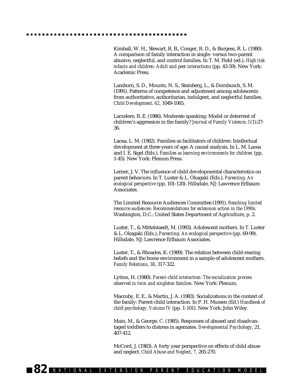Kimball, W. H., Stewart, R. B., Conger, R. D., & Burgess, R. L. (1980). A comparison of family interaction in single- versus two-parent abusive, neglectful, and control families. In T. M. Field (ed.), *High risk infants and children: Adult and peer interactions* (pp. 43-59). New York: Academic Press.

Lamborn, S. D., Mounts, N. S., Steinberg, L., & Dornbusch, S. M. (1991). Patterns of competence and adjustment among adolescents from authoritative, authoritarian, indulgent, and neglectful families. *Child Development, 62,* 1049-1065.

Larzelere, R. E. (1986). Moderate spanking: Model or deterrent of children's aggression in the family? *Journal of Family Violence, 1*(1):27- 36.

Laosa, L. M. (1982). Families as facilitators of children: Intellectual development at three years of age: A causal analysis. In L. M. Laosa and I. E. Sigel (Eds.), *Families as learning environments for children* (pp. 1-45)*.* New York: Plenum Press.

Lerner, J. V. The influence of child developmental characteristics on parent behaviors. In T. Luster & L. Okagaki (Eds.), *Parenting: An ecological perspective* (pp. 101-120). Hillsdale, NJ: Lawrence Erlbaum Associates.

The Limited Resource Audiences Committee (1991). *Reaching limited resource audiences: Recommendations for extension action in the 1990s.* Washington, D.C.: United States Department of Agriculture, p. 2.

Luster, T., & Mittelstaedt, M. (1993). Adolescent mothers. In T. Luster & L. Okagaki (Eds.), *Parenting: An ecological perspective* (pp. 69-99). Hillsdale, NJ: Lawrence Erlbaum Associates.

Luster, T., & Rhoades, K. (1989). The relation between child-rearing beliefs and the home environment in a sample of adolescent mothers. *Family Relations, 38,* 317-322.

Lytton, H. (1980). *Parent-child interaction: The socialization process observed in twin and singleton families.* New York: Plenum.

Maccoby, E. E., & Martin, J. A. (1983). Socializations in the context of the family: Parent-child interaction. In P. H. Mussen (Ed.) *Handbook of child psychology, Volume IV* (pp. 1-101). New York: John Wiley.

Main, M., & George, C. (1985). Responses of abused and disadvantaged toddlers to distress in agemates. *Developmental Psychology,* 21, 407-412.

McCord, J. (1983). A forty year perspective on effects of child abuse and neglect. *Child Abuse and Neglect, 7,* 265-270.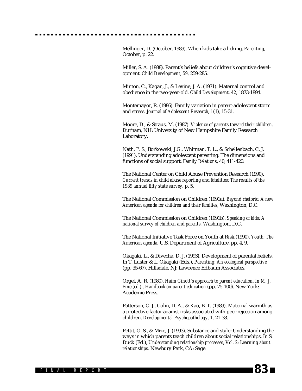Mellinger, D. (October, 1989). When kids take a licking. *Parenting,* October, p. 22.

Miller, S. A. (1988). Parent's beliefs about children's cognitive development. *Child Development, 59,* 259-285.

Minton, C., Kagan, J., & Levine, J. A. (1971). Maternal control and obedience in the two-year-old. *Child Development, 42,* 1873-1894.

Montemayor, R. (1986). Family variation in parent-adolescent storm and stress. *Journal of Adolescent Research, 1*(1), 15-31.

Moore, D., & Straus, M. (1987). *Violence of parents toward their children.* Durham, NH: University of New Hampshire Family Research Laboratory.

Nath, P. S., Borkowski, J.G., Whitman, T. L., & Schellenbach, C. J. (1991). Understanding adolescent parenting: The dimensions and functions of social support. *Family Relations*, 40, 411-420.

The National Center on Child Abuse Prevention Research (1990). *Current trends in child abuse reporting and fatalities: The results of the 1989 annual fifty state survey.* p. 5.

The National Commission on Children (1991a). *Beyond rhetoric: A new American agenda for children and their families,* Washington, D.C.

The National Commission on Children (1991b). *Speaking of kids: A national survey of children and parents,* Washington, D.C.

The National Initiative Task Force on Youth at Risk (1990). *Youth: The American agenda,* U.S. Department of Agriculture, pp. 4, 9.

Okagaki, L., & Divecha, D. J. (1993). Development of parental beliefs. In T. Luster & L. Okagaki (Eds.), *Parenting: An ecological perspective* (pp. 35-67). Hillsdale, NJ: Lawrence Erlbaum Associates.

Orgel, A. R. (1980). *Haim Ginott's approach to parent education. In M. J. Fine (ed.)., Handbook on parent education* (pp. 75-100). New York: Academic Press.

Patterson, C. J., Cohn, D. A,. & Kao, B. T. (1989). Maternal warmth as a protective factor against risks associated with peer rejection among children. *Developmental Psychopathology, 1,* 21-38.

Pettit, G. S., & Mize, J. (1993). Substance and style: Understanding the ways in which parents teach children about social relationships. In S. Duck (Ed.), *Understanding relationship processes, Vol. 2: Learning about relationships.* Newbury Park, CA: Sage.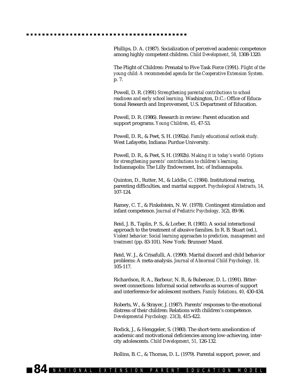Phillips, D. A. (1987). Socialization of perceived academic competence among highly competent children. *Child Development, 58,* 1308-1320.

The Plight of Children: Prenatal to Five Task Force (1991). *Plight of the young child: A recommended agenda for the Cooperative Extension System.* p. 7.

Powell, D. R. (1991) *Strengthening parental contributions to school readiness and early school learning.* Washington, D.C.: Office of Educational Research and Improvement, U.S. Department of Education.

Powell, D. R. (1986). Research in review: Parent education and support programs. *Young Children, 45,* 47-53.

Powell, D. R., & Peet, S. H. (1992a). *Family educational outlook study.* West Lafayette, Indiana: Purdue University.

Powell, D. R., & Peet, S. H. (1992b). *Making it in today's world: Options for strengthening parents' contributions to children's learning.* Indiannapolis: The Lilly Endowment, Inc. of Indiannapolis.

Quinton, D., Rutter, M., & Liddle, C. (1984). Institutional rearing, parenting difficulties, and marital support. *Psychological Abstracts, 14,* 107-124.

Ramey, C. T., & Finkelstein, N. W. (1978). Contingent stimulation and infant competence. *Journal of Pediatric Psychology, 3*(2), 89-96.

Reid, J. B., Taplin, P. S., & Lorber, R. (1981). A social interactional approach to the treatment of abusive families. In R. B. Stuart (ed.), *Violent behavior: Social learning approaches to prediction, management and treatment* (pp. 83-101). New York: Brunner/Mazel.

Reid, W. J., & Crisafulli, A. (1990). Marital discord and child behavior problems: A meta-analysis. *Journal of Abnormal Child Psychology, 18,* 105-117.

Richardson, R. A., Barbour, N. B., & Bubenzer, D. L. (1991). Bittersweet connections: Informal social networks as sources of support and interference for adolescent mothers. *Family Relations, 40,* 430-434.

Roberts, W., & Strayer, J. (1987). Parents' responses to the emotional distress of their children: Relations with children's competence. *Developmental Psychology. 23*(3), 415-422.

Rodick, J., & Henggeler, S. (1980). The short-term amelioration of academic and motivational deficiencies among low-achieving, intercity adolescents. *Child Development, 51,* 126-132.

Rollins, B. C., & Thomas, D. L. (1979). Parental support, power, and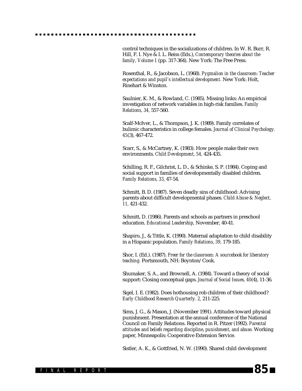control techniques in the socializations of children. In W. R. Burr, R. Hill, F. I. Nye & I. L. Reiss (Eds.), *Contemporary theories about the family, Volume 1* (pp. 317-364). New York: The Free Press.

Rosenthal, R., & Jacobson, L. (1968). *Pygmalion in the classroom: Teacher expectations and pupil's intellectual development.* New York: Holt, Rinehart & Winston.

Saulnier, K. M., & Rowland, C. (1985). Missing links: An empirical investigation of network variables in high-risk families. *Family Relations, 34,* 557-560.

Scalf-McIver, L., & Thompson, J. K. (1989). Family correlates of bulimic characteristics in college females. *Journal of Clinical Psychology. 45*(3), 467-472.

Scarr, S., & McCartney, K. (1983). How people make their own environments. *Child Development, 54,* 424-435.

Schilling, R. F., Gilchrist, L. D., & Schinke, S. P. (1984). Coping and social support in families of developmentally disabled children. *Family Relations, 33,* 47-54.

Schmitt, B. D. (1987). Seven deadly sins of childhood: Advising parents about difficult developmental phases. *Child Abuse & Neglect, 11,* 421-432.

Schmitt, D. (1986). Parents and schools as partners in preschool education. *Educational Leadership,* November, 40-41.

Shapiro, J., & Tittle, K. (1990). Maternal adaptation to child disability in a Hispanic population. *Family Relations, 39,* 179-185.

Shor, I. (Ed.). (1987). *Freer for the classroom: A sourcebook for liberatory teaching.* Portsmouth, NH: Boynton/Cook.

Shumaker, S. A., and Brownell, A. (1984). Toward a theory of social support: Closing conceptual gaps. *Journal of Social Issues, 40*(4), 11-36.

Sigel, I. E. (1982). Does hothousing rob children of their childhood? *Early Childhood Research Quarterly. 2,* 211-225.

Sims, J. G., & Mason, J. (November 1991). Attitudes toward physical punishment. Presentation at the annual conference of the National Council on Family Relations. Reported in R. Pitzer (1992). *Parental attitudes and beliefs regarding discipline, punishment, and abuse.* Working paper, Minneapolis: Cooperative Extension Service.

Sistler, A. K., & Gottfried, N. W. (1990). Shared child development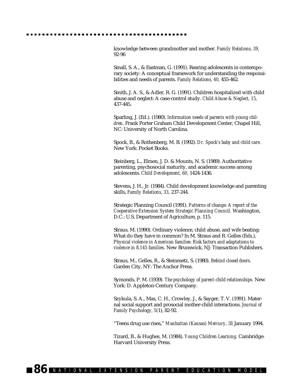knowledge between grandmother and mother. *Family Relations, 39,* 92-96

Small, S. A., & Eastman, G. (1991). Rearing adolescents in contemporary society: A conceptual framework for understanding the responsibilities and needs of parents. *Family Relations, 40,* 455-462.

Smith, J. A. S., & Adler, R. G. (1991). Children hospitalized with child abuse and neglect: A case-control study. *Child Abuse & Neglect, 15,* 437-445.

Sparling, J. (Ed.). (1980). *Information needs of parents with young children.* Frank Porter Graham Child Development Center, Chapel Hill, NC: University of North Carolina.

Spock, B., & Rothenberg, M. B. (1992). *Dr. Spock's baby and child care.* New York: Pocket Books.

Steinberg, L., Elmen, J. D. & Mounts, N. S. (1989). Authoritative parenting, psychosocial maturity, and academic success among adolescents. *Child Development, 60,* 1424-1436.

Stevens, J. H., Jr. (1984). Child development knowledge and parenting skills, *Family Relations, 33,* 237-244.

Strategic Planning Council (1991). *Patterns of change: A report of the Cooperative Extension System Strategic Planning Council.* Washington, D.C.: U.S. Department of Agriculture, p. 115.

Straus, M. (1990). Ordinary violence, child abuse, and wife beating: What do they have in common? In M. Straus and R. Gelles (Eds.), *Physical violence in American families: Risk factors and adaptations to violence in 8,145 families.* New Brunswick, NJ: Transaction Publishers.

Straus, M., Gelles, R., & Steinmetz, S. (1980). *Behind closed doors.* Garden City, NY: The Anchor Press.

Symonds, P. M. (1939). *The psychology of parent-child relationships.* New York: D. Appleton-Century Company.

Szykula, S. A., Mas, C. H., Crowley, J., & Sayger, T. V. (1991). Maternal social support and prosocial mother-child interactions. *Journal of Family Psychology, 5*(1), 82-92.

"Teens drug use rises," *Manhattan (Kansas) Mercury,* 31 January 1994.

Tizard, B., & Hughes, M. (1984). *Young Children Learning.* Cambridge: Harvard University Press.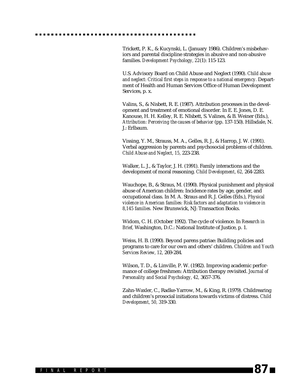Trickett, P. K., & Kucynski, L. (January 1986). Children's misbehaviors and parental discipline strategies in abusive and non-abusive families. *Development Psychology, 22*(1): 115-123.

U.S. Advisory Board on Child Abuse and Neglect (1990). *Child abuse and neglect: Critical first steps in response to a national emergency.* Department of Health and Human Services Office of Human Development Services, p. x.

Valins, S., & Nisbett, R. E. (1987). Attribution processes in the development and treatment of emotional disorder. In E. E. Jones, D. E. Kanouse, H. H. Kelley, R. E. NIsbett, S. Valines, & B. Weiner (Eds.), *Attribution: Perceiving the causes of behavior* (pp. 137-150). Hillsdale, N. J.: Erlbaum.

Vissing, Y. M., Strauss, M. A., Gelles, R. J., & Harrop, J. W. (1991). Verbal aggression by parents and psychosocial problems of children. *Child Abuse and Neglect, 15,* 223-238.

Walker, L. J., & Taylor, J. H. (1991). Family interactions and the development of moral reasoning. *Child Development, 62,* 264-2283.

Wauchope, B., & Straus, M. (1990). Physical punishment and physical abuse of American children: Incidence rates by age, gender, and occupational class. In M. A. Straus and R. J. Gelles (Eds.), *Physical violence in American families: Risk factors and adaptation to violence in 8,145 families.* New Brunswick, NJ: Transaction Books.

Widom, C. H. (October 1992). The cycle of violence. In *Research in Brief,* Washington, D.C.: National Institute of Justice, p. 1.

Weiss, H. B. (1990). Beyond parens patriae: Building policies and programs to care for our own and others' children. *Children and Youth Services Review, 12,* 269-284.

Wilson, T. D., & Linville, P. W. (1982). Improving academic performance of college freshmen: Attribution therapy revisited. *Journal of Personality and Social Psychology, 42,* 3657-376.

Zahn-Waxler, C., Radke-Yarrow, M., & King, R. (1979). Childrearing and children's prosocial initiations towards victims of distress. *Child Development, 50,* 319-330.